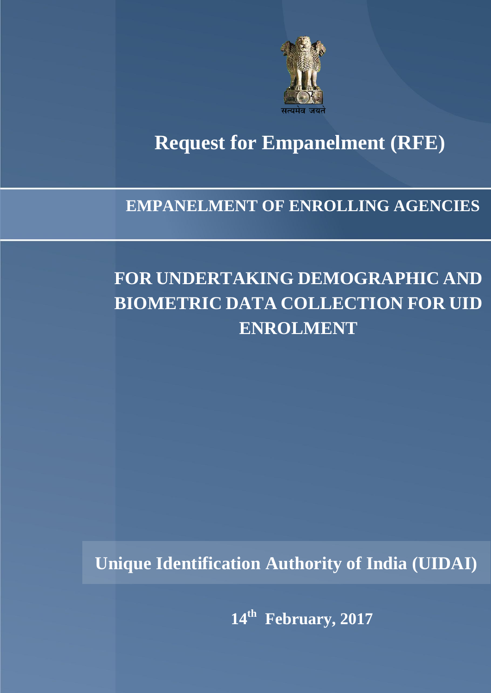

# **Request for Empanelment (RFE) Request for Empanelment (RFE)**

### **EMPANELMENT OF ENROLLING AGENCIES**

## **FOR UNDERTAKING DEMOGRAPHIC AND BIOMETRIC DATA COLLECTION FOR UID ENROLMENT**

**Unique Identification Authority of India (UIDAI)**

**14th February, 2017**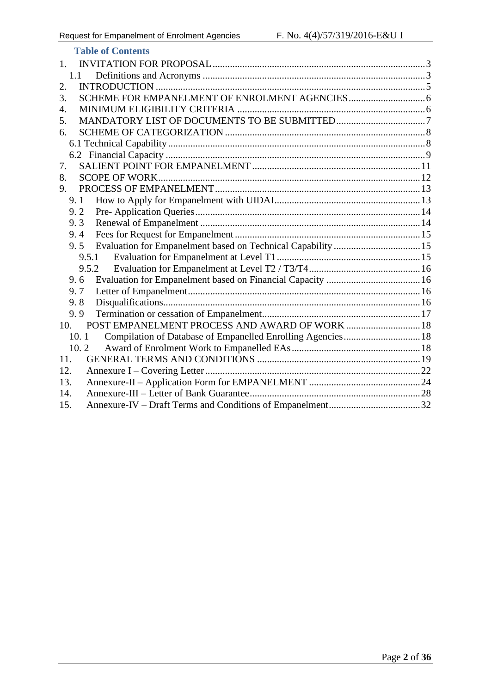| <b>Table of Contents</b>                                            |  |
|---------------------------------------------------------------------|--|
| 1.                                                                  |  |
| 1.1                                                                 |  |
| 2.                                                                  |  |
| 3.                                                                  |  |
| 4.                                                                  |  |
| 5.                                                                  |  |
| 6.                                                                  |  |
|                                                                     |  |
|                                                                     |  |
| 7.                                                                  |  |
| 8.                                                                  |  |
| 9.                                                                  |  |
| 9.1                                                                 |  |
| 9.2                                                                 |  |
| 9.3                                                                 |  |
| 9.4                                                                 |  |
| Evaluation for Empanelment based on Technical Capability  15<br>9.5 |  |
| 9.5.1                                                               |  |
| 9.5.2                                                               |  |
| 9.6                                                                 |  |
| 9.7                                                                 |  |
| 9.8                                                                 |  |
| 9.9                                                                 |  |
| POST EMPANELMENT PROCESS AND AWARD OF WORK  18<br>10.               |  |
| Compilation of Database of Empanelled Enrolling Agencies 18<br>10.1 |  |
| 10.2                                                                |  |
| 11.                                                                 |  |
| 12.                                                                 |  |
| 13.                                                                 |  |
| 14.                                                                 |  |
| 15.                                                                 |  |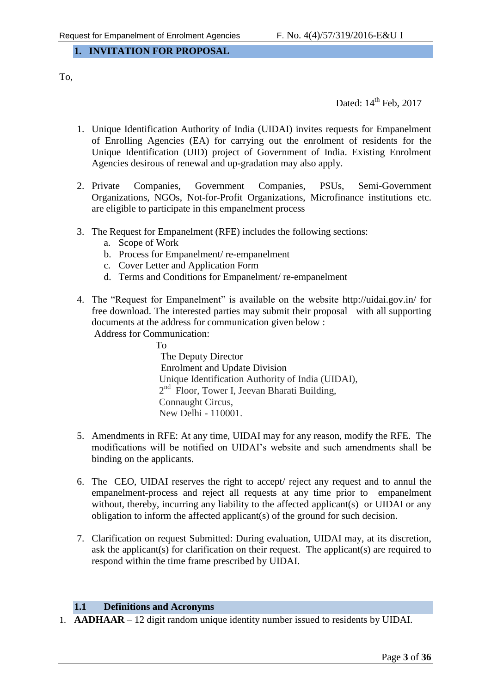#### <span id="page-2-0"></span>**1. INVITATION FOR PROPOSAL**

To,

Dated:  $14<sup>th</sup>$  Feb, 2017

- 1. Unique Identification Authority of India (UIDAI) invites requests for Empanelment of Enrolling Agencies (EA) for carrying out the enrolment of residents for the Unique Identification (UID) project of Government of India. Existing Enrolment Agencies desirous of renewal and up-gradation may also apply.
- 2. Private Companies, Government Companies, PSUs, Semi-Government Organizations, NGOs, Not-for-Profit Organizations, Microfinance institutions etc. are eligible to participate in this empanelment process
- 3. The Request for Empanelment (RFE) includes the following sections:
	- a. Scope of Work
	- b. Process for Empanelment/ re-empanelment
	- c. Cover Letter and Application Form
	- d. Terms and Conditions for Empanelment/ re-empanelment
- 4. The "Request for Empanelment" is available on the website<http://uidai.gov.in/> for free download. The interested parties may submit their proposal with all supporting documents at the address for communication given below :

Address for Communication:

 To The Deputy Director Enrolment and Update Division Unique Identification Authority of India (UIDAI), 2<sup>nd</sup> Floor, Tower I, Jeevan Bharati Building, Connaught Circus, New Delhi - 110001.

- 5. Amendments in RFE: At any time, UIDAI may for any reason, modify the RFE. The modifications will be notified on UIDAI"s website and such amendments shall be binding on the applicants.
- 6. The CEO, UIDAI reserves the right to accept/ reject any request and to annul the empanelment-process and reject all requests at any time prior to empanelment without, thereby, incurring any liability to the affected applicant(s) or UIDAI or any obligation to inform the affected applicant(s) of the ground for such decision.
- 7. Clarification on request Submitted: During evaluation, UIDAI may, at its discretion, ask the applicant(s) for clarification on their request. The applicant(s) are required to respond within the time frame prescribed by UIDAI.

#### **1.1 Definitions and Acronyms**

<span id="page-2-1"></span>1. **AADHAAR** – 12 digit random unique identity number issued to residents by UIDAI.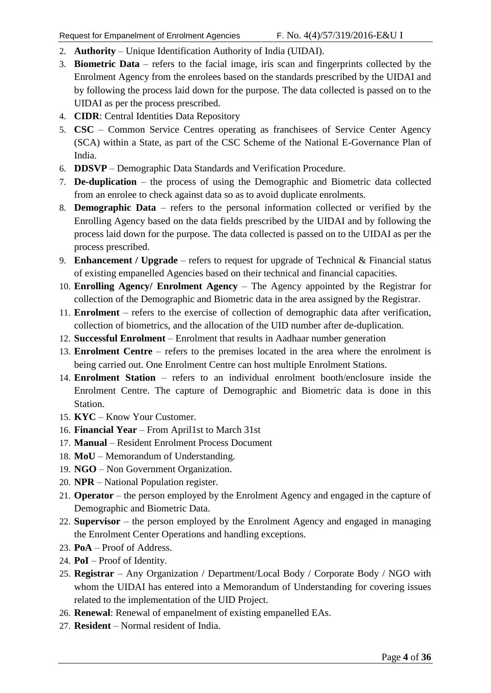- 2. **Authority** Unique Identification Authority of India (UIDAI).
- 3. **Biometric Data** refers to the facial image, iris scan and fingerprints collected by the Enrolment Agency from the enrolees based on the standards prescribed by the UIDAI and by following the process laid down for the purpose. The data collected is passed on to the UIDAI as per the process prescribed.
- 4. **CIDR**: Central Identities Data Repository
- 5. **CSC** Common Service Centres operating as franchisees of Service Center Agency (SCA) within a State, as part of the CSC Scheme of the National E-Governance Plan of India.
- 6. **DDSVP** Demographic Data Standards and Verification Procedure.
- 7. **De-duplication** the process of using the Demographic and Biometric data collected from an enrolee to check against data so as to avoid duplicate enrolments.
- 8. **Demographic Data** refers to the personal information collected or verified by the Enrolling Agency based on the data fields prescribed by the UIDAI and by following the process laid down for the purpose. The data collected is passed on to the UIDAI as per the process prescribed.
- 9. **Enhancement / Upgrade** refers to request for upgrade of Technical & Financial status of existing empanelled Agencies based on their technical and financial capacities.
- 10. **Enrolling Agency/ Enrolment Agency** The Agency appointed by the Registrar for collection of the Demographic and Biometric data in the area assigned by the Registrar.
- 11. **Enrolment** refers to the exercise of collection of demographic data after verification, collection of biometrics, and the allocation of the UID number after de-duplication.
- 12. **Successful Enrolment**  Enrolment that results in Aadhaar number generation
- 13. **Enrolment Centre** refers to the premises located in the area where the enrolment is being carried out. One Enrolment Centre can host multiple Enrolment Stations.
- 14. **Enrolment Station** refers to an individual enrolment booth/enclosure inside the Enrolment Centre. The capture of Demographic and Biometric data is done in this Station.
- 15. **KYC** Know Your Customer.
- 16. **Financial Year**  From April1st to March 31st
- 17. **Manual** Resident Enrolment Process Document
- 18. **MoU** Memorandum of Understanding.
- 19. **NGO** Non Government Organization.
- 20. **NPR** National Population register.
- 21. **Operator** the person employed by the Enrolment Agency and engaged in the capture of Demographic and Biometric Data.
- 22. **Supervisor**  the person employed by the Enrolment Agency and engaged in managing the Enrolment Center Operations and handling exceptions.
- 23. **PoA** Proof of Address.
- 24. **PoI** Proof of Identity.
- 25. **Registrar** Any Organization / Department/Local Body / Corporate Body / NGO with whom the UIDAI has entered into a Memorandum of Understanding for covering issues related to the implementation of the UID Project.
- 26. **Renewal**: Renewal of empanelment of existing empanelled EAs.
- 27. **Resident** Normal resident of India.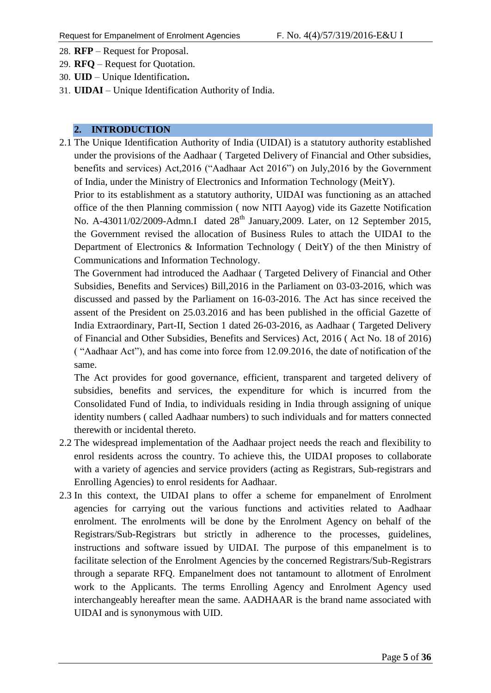- 28. **RFP** Request for Proposal.
- 29. **RFQ**  Request for Quotation.
- 30. **UID** Unique Identification**.**
- 31. **UIDAI** Unique Identification Authority of India.

#### <span id="page-4-0"></span>**2. INTRODUCTION**

2.1 The Unique Identification Authority of India (UIDAI) is a statutory authority established under the provisions of the Aadhaar ( Targeted Delivery of Financial and Other subsidies, benefits and services) Act,2016 ("Aadhaar Act 2016") on July,2016 by the Government of India, under the Ministry of Electronics and Information Technology (MeitY).

Prior to its establishment as a statutory authority, UIDAI was functioning as an attached office of the then Planning commission ( now NITI Aayog) vide its Gazette Notification No. A-43011/02/2009-Admn.I dated  $28<sup>th</sup>$  January, 2009. Later, on 12 September 2015, the Government revised the allocation of Business Rules to attach the UIDAI to the Department of Electronics & Information Technology ( DeitY) of the then Ministry of Communications and Information Technology.

The Government had introduced the Aadhaar ( Targeted Delivery of Financial and Other Subsidies, Benefits and Services) Bill,2016 in the Parliament on 03-03-2016, which was discussed and passed by the Parliament on 16-03-2016. The Act has since received the assent of the President on 25.03.2016 and has been published in the official Gazette of India Extraordinary, Part-II, Section 1 dated 26-03-2016, as Aadhaar ( Targeted Delivery of Financial and Other Subsidies, Benefits and Services) Act, 2016 ( Act No. 18 of 2016) ( "Aadhaar Act"), and has come into force from 12.09.2016, the date of notification of the same.

The Act provides for good governance, efficient, transparent and targeted delivery of subsidies, benefits and services, the expenditure for which is incurred from the Consolidated Fund of India, to individuals residing in India through assigning of unique identity numbers ( called Aadhaar numbers) to such individuals and for matters connected therewith or incidental thereto.

- 2.2 The widespread implementation of the Aadhaar project needs the reach and flexibility to enrol residents across the country. To achieve this, the UIDAI proposes to collaborate with a variety of agencies and service providers (acting as Registrars, Sub-registrars and Enrolling Agencies) to enrol residents for Aadhaar.
- 2.3 In this context, the UIDAI plans to offer a scheme for empanelment of Enrolment agencies for carrying out the various functions and activities related to Aadhaar enrolment. The enrolments will be done by the Enrolment Agency on behalf of the Registrars/Sub-Registrars but strictly in adherence to the processes, guidelines, instructions and software issued by UIDAI. The purpose of this empanelment is to facilitate selection of the Enrolment Agencies by the concerned Registrars/Sub-Registrars through a separate RFQ. Empanelment does not tantamount to allotment of Enrolment work to the Applicants. The terms Enrolling Agency and Enrolment Agency used interchangeably hereafter mean the same. AADHAAR is the brand name associated with UIDAI and is synonymous with UID.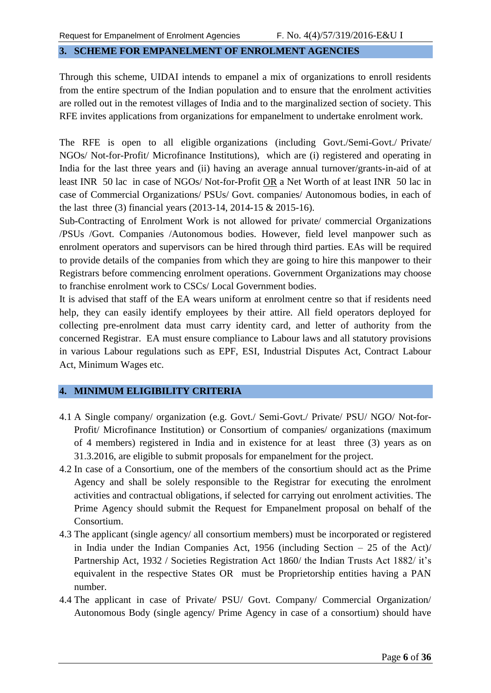#### <span id="page-5-0"></span>**3. SCHEME FOR EMPANELMENT OF ENROLMENT AGENCIES**

Through this scheme, UIDAI intends to empanel a mix of organizations to enroll residents from the entire spectrum of the Indian population and to ensure that the enrolment activities are rolled out in the remotest villages of India and to the marginalized section of society. This RFE invites applications from organizations for empanelment to undertake enrolment work.

The RFE is open to all eligible organizations (including Govt./Semi-Govt./ Private/ NGOs/ Not-for-Profit/ Microfinance Institutions), which are (i) registered and operating in India for the last three years and (ii) having an average annual turnover/grants-in-aid of at least INR 50 lac in case of NGOs/ Not-for-Profit OR a Net Worth of at least INR 50 lac in case of Commercial Organizations/ PSUs/ Govt. companies/ Autonomous bodies, in each of the last three (3) financial years (2013-14, 2014-15 & 2015-16).

Sub-Contracting of Enrolment Work is not allowed for private/ commercial Organizations /PSUs /Govt. Companies /Autonomous bodies. However, field level manpower such as enrolment operators and supervisors can be hired through third parties. EAs will be required to provide details of the companies from which they are going to hire this manpower to their Registrars before commencing enrolment operations. Government Organizations may choose to franchise enrolment work to CSCs/ Local Government bodies.

It is advised that staff of the EA wears uniform at enrolment centre so that if residents need help, they can easily identify employees by their attire. All field operators deployed for collecting pre-enrolment data must carry identity card, and letter of authority from the concerned Registrar. EA must ensure compliance to Labour laws and all statutory provisions in various Labour regulations such as EPF, ESI, Industrial Disputes Act, Contract Labour Act, Minimum Wages etc.

#### <span id="page-5-1"></span>**4. MINIMUM ELIGIBILITY CRITERIA**

- 4.1 A Single company/ organization (e.g. Govt./ Semi-Govt./ Private/ PSU/ NGO/ Not-for-Profit/ Microfinance Institution) or Consortium of companies/ organizations (maximum of 4 members) registered in India and in existence for at least three (3) years as on 31.3.2016, are eligible to submit proposals for empanelment for the project.
- 4.2 In case of a Consortium, one of the members of the consortium should act as the Prime Agency and shall be solely responsible to the Registrar for executing the enrolment activities and contractual obligations, if selected for carrying out enrolment activities. The Prime Agency should submit the Request for Empanelment proposal on behalf of the Consortium.
- 4.3 The applicant (single agency/ all consortium members) must be incorporated or registered in India under the Indian Companies Act, 1956 (including Section – 25 of the Act)/ Partnership Act, 1932 / Societies Registration Act 1860/ the Indian Trusts Act 1882/ it's equivalent in the respective States OR must be Proprietorship entities having a PAN number.
- 4.4 The applicant in case of Private/ PSU/ Govt. Company/ Commercial Organization/ Autonomous Body (single agency/ Prime Agency in case of a consortium) should have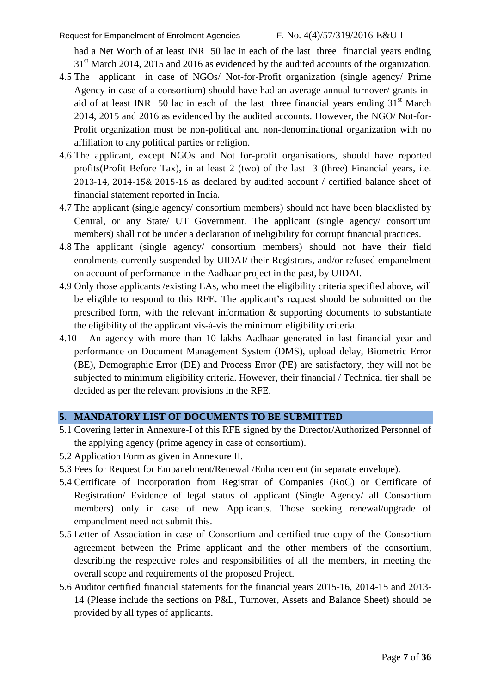had a Net Worth of at least INR 50 lac in each of the last three financial years ending 31<sup>st</sup> March 2014, 2015 and 2016 as evidenced by the audited accounts of the organization.

- 4.5 The applicant in case of NGOs/ Not-for-Profit organization (single agency/ Prime Agency in case of a consortium) should have had an average annual turnover/ grants-inaid of at least INR 50 lac in each of the last three financial years ending  $31<sup>st</sup>$  March 2014, 2015 and 2016 as evidenced by the audited accounts. However, the NGO/ Not-for-Profit organization must be non-political and non-denominational organization with no affiliation to any political parties or religion.
- 4.6 The applicant, except NGOs and Not for-profit organisations, should have reported profits(Profit Before Tax), in at least 2 (two) of the last 3 (three) Financial years, i.e. 2013-14, 2014-15& 2015-16 as declared by audited account / certified balance sheet of financial statement reported in India.
- 4.7 The applicant (single agency/ consortium members) should not have been blacklisted by Central, or any State/ UT Government. The applicant (single agency/ consortium members) shall not be under a declaration of ineligibility for corrupt financial practices.
- 4.8 The applicant (single agency/ consortium members) should not have their field enrolments currently suspended by UIDAI/ their Registrars, and/or refused empanelment on account of performance in the Aadhaar project in the past, by UIDAI.
- 4.9 Only those applicants /existing EAs, who meet the eligibility criteria specified above, will be eligible to respond to this RFE. The applicant's request should be submitted on the prescribed form, with the relevant information & supporting documents to substantiate the eligibility of the applicant vis-à-vis the minimum eligibility criteria.
- 4.10 An agency with more than 10 lakhs Aadhaar generated in last financial year and performance on Document Management System (DMS), upload delay, Biometric Error (BE), Demographic Error (DE) and Process Error (PE) are satisfactory, they will not be subjected to minimum eligibility criteria. However, their financial / Technical tier shall be decided as per the relevant provisions in the RFE.

#### <span id="page-6-0"></span>**5. MANDATORY LIST OF DOCUMENTS TO BE SUBMITTED**

- 5.1 Covering letter in Annexure-I of this RFE signed by the Director/Authorized Personnel of the applying agency (prime agency in case of consortium).
- 5.2 Application Form as given in Annexure II.
- 5.3 Fees for Request for Empanelment/Renewal /Enhancement (in separate envelope).
- 5.4 Certificate of Incorporation from Registrar of Companies (RoC) or Certificate of Registration/ Evidence of legal status of applicant (Single Agency/ all Consortium members) only in case of new Applicants. Those seeking renewal/upgrade of empanelment need not submit this.
- 5.5 Letter of Association in case of Consortium and certified true copy of the Consortium agreement between the Prime applicant and the other members of the consortium, describing the respective roles and responsibilities of all the members, in meeting the overall scope and requirements of the proposed Project.
- 5.6 Auditor certified financial statements for the financial years 2015-16, 2014-15 and 2013- 14 (Please include the sections on P&L, Turnover, Assets and Balance Sheet) should be provided by all types of applicants.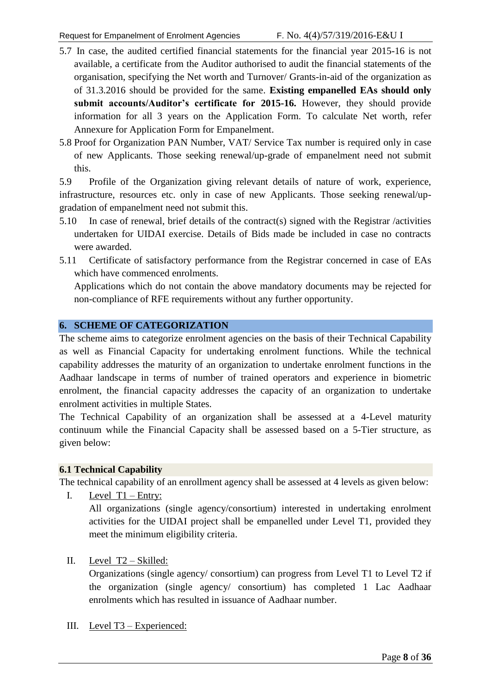- 5.7 In case, the audited certified financial statements for the financial year 2015-16 is not available, a certificate from the Auditor authorised to audit the financial statements of the organisation, specifying the Net worth and Turnover/ Grants-in-aid of the organization as of 31.3.2016 should be provided for the same. **Existing empanelled EAs should only submit accounts/Auditor's certificate for 2015-16.** However, they should provide information for all 3 years on the Application Form. To calculate Net worth, refer Annexure for Application Form for Empanelment.
- 5.8 Proof for Organization PAN Number, VAT/ Service Tax number is required only in case of new Applicants. Those seeking renewal/up-grade of empanelment need not submit this.

5.9 Profile of the Organization giving relevant details of nature of work, experience, infrastructure, resources etc. only in case of new Applicants. Those seeking renewal/upgradation of empanelment need not submit this.

- 5.10 In case of renewal, brief details of the contract(s) signed with the Registrar /activities undertaken for UIDAI exercise. Details of Bids made be included in case no contracts were awarded.
- 5.11 Certificate of satisfactory performance from the Registrar concerned in case of EAs which have commenced enrolments.

Applications which do not contain the above mandatory documents may be rejected for non-compliance of RFE requirements without any further opportunity.

#### <span id="page-7-0"></span>**6. SCHEME OF CATEGORIZATION**

The scheme aims to categorize enrolment agencies on the basis of their Technical Capability as well as Financial Capacity for undertaking enrolment functions. While the technical capability addresses the maturity of an organization to undertake enrolment functions in the Aadhaar landscape in terms of number of trained operators and experience in biometric enrolment, the financial capacity addresses the capacity of an organization to undertake enrolment activities in multiple States.

The Technical Capability of an organization shall be assessed at a 4-Level maturity continuum while the Financial Capacity shall be assessed based on a 5-Tier structure, as given below:

#### <span id="page-7-1"></span>**6.1 Technical Capability**

The technical capability of an enrollment agency shall be assessed at 4 levels as given below:

I. Level T1 – Entry:

All organizations (single agency/consortium) interested in undertaking enrolment activities for the UIDAI project shall be empanelled under Level T1, provided they meet the minimum eligibility criteria.

II. Level T2 – Skilled:

Organizations (single agency/ consortium) can progress from Level T1 to Level T2 if the organization (single agency/ consortium) has completed 1 Lac Aadhaar enrolments which has resulted in issuance of Aadhaar number.

III. Level T3 – Experienced: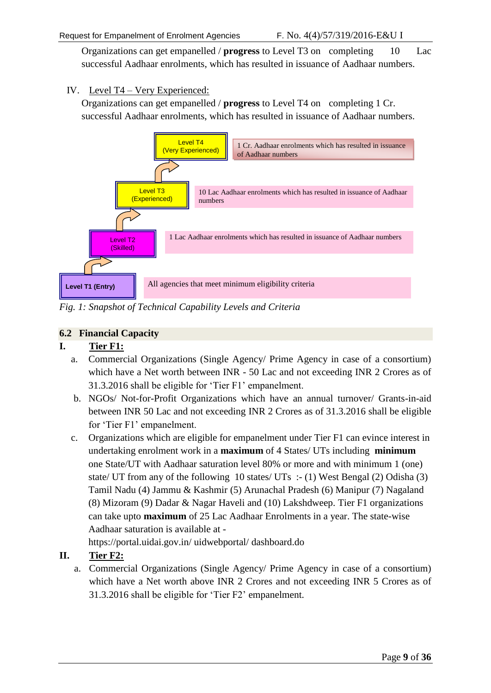Organizations can get empanelled / **progress** to Level T3 on completing 10 Lac successful Aadhaar enrolments, which has resulted in issuance of Aadhaar numbers.

#### IV. Level T4 – Very Experienced:

Organizations can get empanelled / **progress** to Level T4 on completing 1 Cr. successful Aadhaar enrolments, which has resulted in issuance of Aadhaar numbers.



*Fig. 1: Snapshot of Technical Capability Levels and Criteria*

#### <span id="page-8-0"></span>**6.2 Financial Capacity**

#### **I. Tier F1:**

- a. Commercial Organizations (Single Agency/ Prime Agency in case of a consortium) which have a Net worth between INR - 50 Lac and not exceeding INR 2 Crores as of 31.3.2016 shall be eligible for "Tier F1" empanelment.
- b. NGOs/ Not-for-Profit Organizations which have an annual turnover/ Grants-in-aid between INR 50 Lac and not exceeding INR 2 Crores as of 31.3.2016 shall be eligible for 'Tier F1' empanelment.
- c. Organizations which are eligible for empanelment under Tier F1 can evince interest in undertaking enrolment work in a **maximum** of 4 States/ UTs including **minimum** one State/UT with Aadhaar saturation level 80% or more and with minimum 1 (one) state/ UT from any of the following 10 states/ UTs :- (1) West Bengal (2) Odisha (3) Tamil Nadu (4) Jammu & Kashmir (5) Arunachal Pradesh (6) Manipur (7) Nagaland (8) Mizoram (9) Dadar & Nagar Haveli and (10) Lakshdweep. Tier F1 organizations can take upto **maximum** of 25 Lac Aadhaar Enrolments in a year. The state-wise Aadhaar saturation is available at -

https://portal.uidai.gov.in/ uidwebportal/ dashboard.do

#### **II. Tier F2:**

a. Commercial Organizations (Single Agency/ Prime Agency in case of a consortium) which have a Net worth above INR 2 Crores and not exceeding INR 5 Crores as of 31.3.2016 shall be eligible for "Tier F2" empanelment.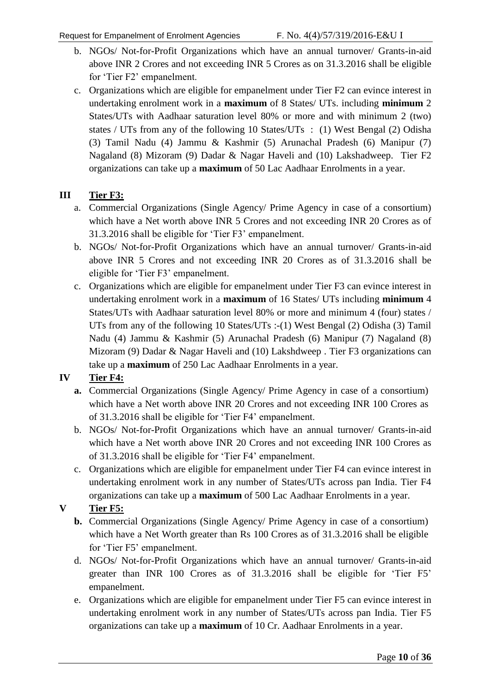- b. NGOs/ Not-for-Profit Organizations which have an annual turnover/ Grants-in-aid above INR 2 Crores and not exceeding INR 5 Crores as on 31.3.2016 shall be eligible for "Tier F2" empanelment.
- c. Organizations which are eligible for empanelment under Tier F2 can evince interest in undertaking enrolment work in a **maximum** of 8 States/ UTs. including **minimum** 2 States/UTs with Aadhaar saturation level 80% or more and with minimum 2 (two) states / UTs from any of the following 10 States/UTs : (1) West Bengal (2) Odisha (3) Tamil Nadu (4) Jammu & Kashmir (5) Arunachal Pradesh (6) Manipur (7) Nagaland (8) Mizoram (9) Dadar & Nagar Haveli and (10) Lakshadweep. Tier F2 organizations can take up a **maximum** of 50 Lac Aadhaar Enrolments in a year.

#### **III Tier F3:**

- a. Commercial Organizations (Single Agency/ Prime Agency in case of a consortium) which have a Net worth above INR 5 Crores and not exceeding INR 20 Crores as of 31.3.2016 shall be eligible for "Tier F3" empanelment.
- b. NGOs/ Not-for-Profit Organizations which have an annual turnover/ Grants-in-aid above INR 5 Crores and not exceeding INR 20 Crores as of 31.3.2016 shall be eligible for "Tier F3" empanelment.
- c. Organizations which are eligible for empanelment under Tier F3 can evince interest in undertaking enrolment work in a **maximum** of 16 States/ UTs including **minimum** 4 States/UTs with Aadhaar saturation level 80% or more and minimum 4 (four) states / UTs from any of the following 10 States/UTs :-(1) West Bengal (2) Odisha (3) Tamil Nadu (4) Jammu & Kashmir (5) Arunachal Pradesh (6) Manipur (7) Nagaland (8) Mizoram (9) Dadar & Nagar Haveli and (10) Lakshdweep . Tier F3 organizations can take up a **maximum** of 250 Lac Aadhaar Enrolments in a year.

#### **IV Tier F4:**

- **a.** Commercial Organizations (Single Agency/ Prime Agency in case of a consortium) which have a Net worth above INR 20 Crores and not exceeding INR 100 Crores as of 31.3.2016 shall be eligible for "Tier F4" empanelment.
- b. NGOs/ Not-for-Profit Organizations which have an annual turnover/ Grants-in-aid which have a Net worth above INR 20 Crores and not exceeding INR 100 Crores as of 31.3.2016 shall be eligible for "Tier F4" empanelment.
- c. Organizations which are eligible for empanelment under Tier F4 can evince interest in undertaking enrolment work in any number of States/UTs across pan India. Tier F4 organizations can take up a **maximum** of 500 Lac Aadhaar Enrolments in a year.

#### **V Tier F5:**

- **b.** Commercial Organizations (Single Agency/ Prime Agency in case of a consortium) which have a Net Worth greater than Rs 100 Crores as of 31.3.2016 shall be eligible for 'Tier F5' empanelment.
- d. NGOs/ Not-for-Profit Organizations which have an annual turnover/ Grants-in-aid greater than INR 100 Crores as of 31.3.2016 shall be eligible for "Tier F5" empanelment.
- e. Organizations which are eligible for empanelment under Tier F5 can evince interest in undertaking enrolment work in any number of States/UTs across pan India. Tier F5 organizations can take up a **maximum** of 10 Cr. Aadhaar Enrolments in a year.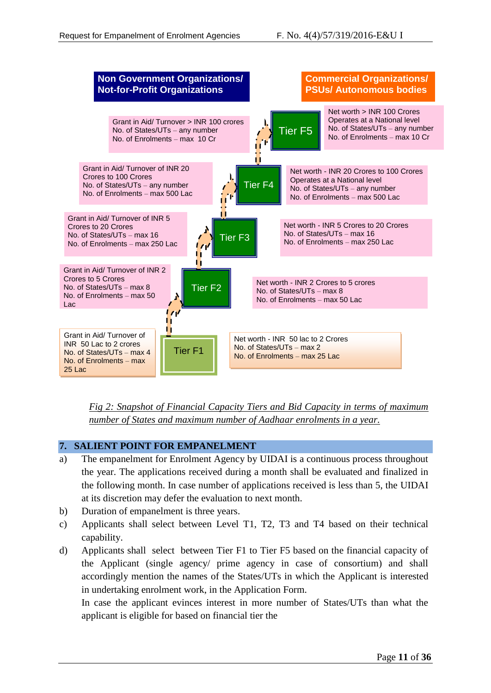

*Fig 2: Snapshot of Financial Capacity Tiers and Bid Capacity in terms of maximum number of States and maximum number of Aadhaar enrolments in a year.*

#### <span id="page-10-0"></span>**7. SALIENT POINT FOR EMPANELMENT**

- a) The empanelment for Enrolment Agency by UIDAI is a continuous process throughout the year. The applications received during a month shall be evaluated and finalized in the following month. In case number of applications received is less than 5, the UIDAI at its discretion may defer the evaluation to next month.
- b) Duration of empanelment is three years.
- c) Applicants shall select between Level T1, T2, T3 and T4 based on their technical capability.
- d) Applicants shall select between Tier F1 to Tier F5 based on the financial capacity of the Applicant (single agency/ prime agency in case of consortium) and shall accordingly mention the names of the States/UTs in which the Applicant is interested in undertaking enrolment work, in the Application Form.

In case the applicant evinces interest in more number of States/UTs than what the applicant is eligible for based on financial tier the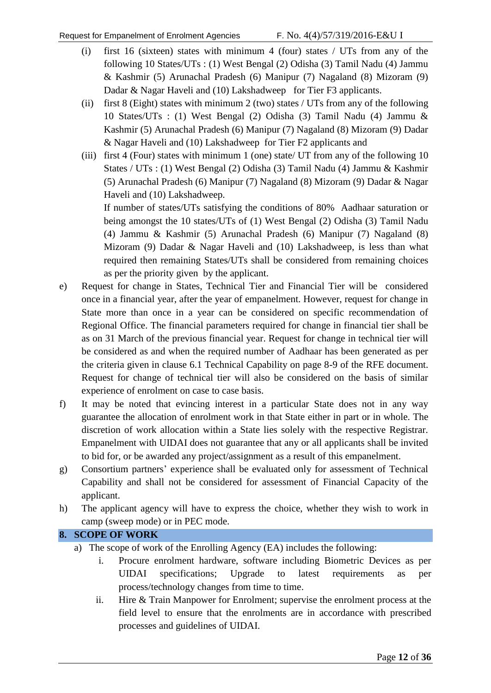- (i) first 16 (sixteen) states with minimum 4 (four) states / UTs from any of the following 10 States/UTs : (1) West Bengal (2) Odisha (3) Tamil Nadu (4) Jammu & Kashmir (5) Arunachal Pradesh (6) Manipur (7) Nagaland (8) Mizoram (9) Dadar & Nagar Haveli and (10) Lakshadweep for Tier F3 applicants.
- (ii) first 8 (Eight) states with minimum 2 (two) states / UTs from any of the following 10 States/UTs : (1) West Bengal (2) Odisha (3) Tamil Nadu (4) Jammu & Kashmir (5) Arunachal Pradesh (6) Manipur (7) Nagaland (8) Mizoram (9) Dadar & Nagar Haveli and (10) Lakshadweep for Tier F2 applicants and
- (iii) first 4 (Four) states with minimum 1 (one) state/ UT from any of the following 10 States / UTs : (1) West Bengal (2) Odisha (3) Tamil Nadu (4) Jammu & Kashmir (5) Arunachal Pradesh (6) Manipur (7) Nagaland (8) Mizoram (9) Dadar & Nagar Haveli and (10) Lakshadweep.

If number of states/UTs satisfying the conditions of 80% Aadhaar saturation or being amongst the 10 states/UTs of (1) West Bengal (2) Odisha (3) Tamil Nadu (4) Jammu & Kashmir (5) Arunachal Pradesh (6) Manipur (7) Nagaland (8) Mizoram (9) Dadar & Nagar Haveli and (10) Lakshadweep, is less than what required then remaining States/UTs shall be considered from remaining choices as per the priority given by the applicant.

- e) Request for change in States, Technical Tier and Financial Tier will be considered once in a financial year, after the year of empanelment. However, request for change in State more than once in a year can be considered on specific recommendation of Regional Office. The financial parameters required for change in financial tier shall be as on 31 March of the previous financial year. Request for change in technical tier will be considered as and when the required number of Aadhaar has been generated as per the criteria given in clause 6.1 Technical Capability on page 8-9 of the RFE document. Request for change of technical tier will also be considered on the basis of similar experience of enrolment on case to case basis.
- f) It may be noted that evincing interest in a particular State does not in any way guarantee the allocation of enrolment work in that State either in part or in whole. The discretion of work allocation within a State lies solely with the respective Registrar. Empanelment with UIDAI does not guarantee that any or all applicants shall be invited to bid for, or be awarded any project/assignment as a result of this empanelment.
- g) Consortium partners" experience shall be evaluated only for assessment of Technical Capability and shall not be considered for assessment of Financial Capacity of the applicant.
- h) The applicant agency will have to express the choice, whether they wish to work in camp (sweep mode) or in PEC mode.

#### <span id="page-11-0"></span>**8. SCOPE OF WORK**

- a) The scope of work of the Enrolling Agency (EA) includes the following:
	- i. Procure enrolment hardware, software including Biometric Devices as per UIDAI specifications; Upgrade to latest requirements as per process/technology changes from time to time.
	- ii. Hire & Train Manpower for Enrolment; supervise the enrolment process at the field level to ensure that the enrolments are in accordance with prescribed processes and guidelines of UIDAI.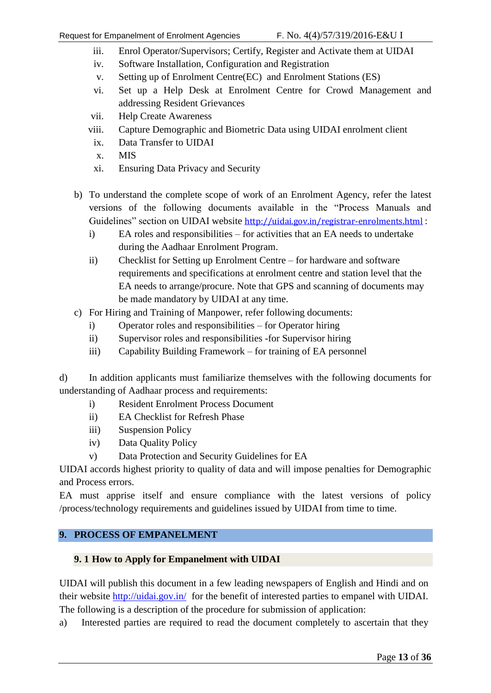- iii. Enrol Operator/Supervisors; Certify, Register and Activate them at UIDAI
- iv. Software Installation, Configuration and Registration
- v. Setting up of Enrolment Centre(EC) and Enrolment Stations (ES)
- vi. Set up a Help Desk at Enrolment Centre for Crowd Management and addressing Resident Grievances
- vii. Help Create Awareness
- viii. Capture Demographic and Biometric Data using UIDAI enrolment client
- ix. Data Transfer to UIDAI
- x. MIS
- xi. Ensuring Data Privacy and Security
- b) To understand the complete scope of work of an Enrolment Agency, refer the latest versions of the following documents available in the "Process Manuals and Guidelines" section on UIDAI website <http://uidai.gov.in/registrar-enrolments.html> :
	- i) EA roles and responsibilities for activities that an EA needs to undertake during the Aadhaar Enrolment Program.
	- ii) Checklist for Setting up Enrolment Centre for hardware and software requirements and specifications at enrolment centre and station level that the EA needs to arrange/procure. Note that GPS and scanning of documents may be made mandatory by UIDAI at any time.
- c) For Hiring and Training of Manpower, refer following documents:
	- i) Operator roles and responsibilities for Operator hiring
	- ii) Supervisor roles and responsibilities -for Supervisor hiring
	- iii) Capability Building Framework for training of EA personnel

d) In addition applicants must familiarize themselves with the following documents for understanding of Aadhaar process and requirements:

- i) Resident Enrolment Process Document
- ii) EA Checklist for Refresh Phase
- iii) Suspension Policy
- iv) Data Quality Policy
- v) Data Protection and Security Guidelines for EA

UIDAI accords highest priority to quality of data and will impose penalties for Demographic and Process errors.

EA must apprise itself and ensure compliance with the latest versions of policy /process/technology requirements and guidelines issued by UIDAI from time to time.

#### <span id="page-12-0"></span>**9. PROCESS OF EMPANELMENT**

#### <span id="page-12-1"></span>**9. 1 How to Apply for Empanelment with UIDAI**

UIDAI will publish this document in a few leading newspapers of English and Hindi and on their website<http://uidai.gov.in/> for the benefit of interested parties to empanel with UIDAI. The following is a description of the procedure for submission of application:

a) Interested parties are required to read the document completely to ascertain that they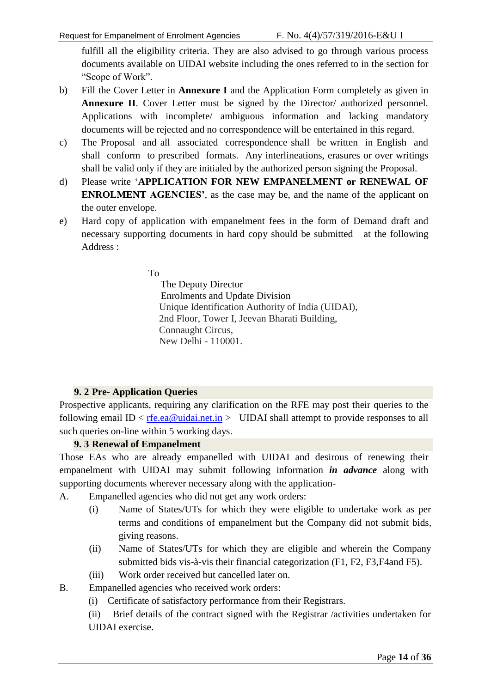fulfill all the eligibility criteria. They are also advised to go through various process documents available on UIDAI website including the ones referred to in the section for "Scope of Work".

- b) Fill the Cover Letter in **Annexure I** and the Application Form completely as given in **Annexure II**. Cover Letter must be signed by the Director/ authorized personnel. Applications with incomplete/ ambiguous information and lacking mandatory documents will be rejected and no correspondence will be entertained in this regard.
- c) The Proposal and all associated correspondence shall be written in English and shall conform to prescribed formats. Any interlineations, erasures or over writings shall be valid only if they are initialed by the authorized person signing the Proposal.
- d) Please write "**APPLICATION FOR NEW EMPANELMENT or RENEWAL OF ENROLMENT AGENCIES'**, as the case may be, and the name of the applicant on the outer envelope.
- e) Hard copy of application with empanelment fees in the form of Demand draft and necessary supporting documents in hard copy should be submitted at the following Address :

To

 The Deputy Director Enrolments and Update Division Unique Identification Authority of India (UIDAI), 2nd Floor, Tower I, Jeevan Bharati Building, Connaught Circus, New Delhi - 110001.

#### **9. 2 Pre- Application Queries**

<span id="page-13-0"></span>Prospective applicants, requiring any clarification on the RFE may post their queries to the following email ID <  $r$  <u>fe.ea@uidai.net.in</u> > UIDAI shall attempt to provide responses to all such queries on-line within 5 working days.

#### **9. 3 Renewal of Empanelment**

<span id="page-13-1"></span>Those EAs who are already empanelled with UIDAI and desirous of renewing their empanelment with UIDAI may submit following information *in advance* along with supporting documents wherever necessary along with the application-

- A. Empanelled agencies who did not get any work orders:
	- (i) Name of States/UTs for which they were eligible to undertake work as per terms and conditions of empanelment but the Company did not submit bids, giving reasons.
	- (ii) Name of States/UTs for which they are eligible and wherein the Company submitted bids vis-à-vis their financial categorization (F1, F2, F3,F4and F5).
	- (iii) Work order received but cancelled later on.
- B. Empanelled agencies who received work orders:
	- (i) Certificate of satisfactory performance from their Registrars.

(ii) Brief details of the contract signed with the Registrar /activities undertaken for UIDAI exercise.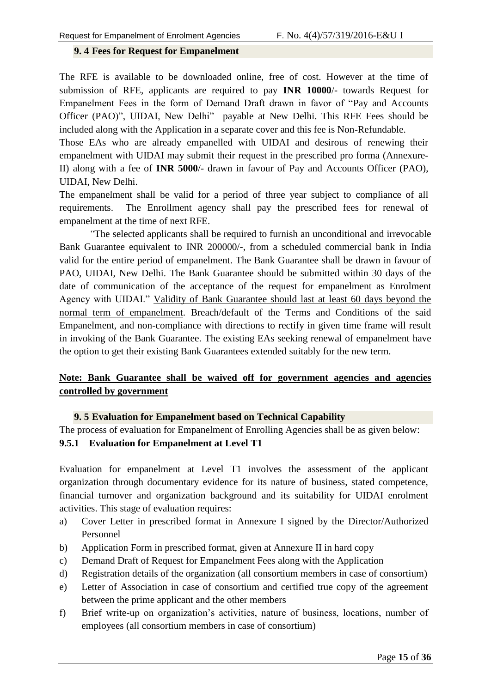#### <span id="page-14-0"></span>**9. 4 Fees for Request for Empanelment**

The RFE is available to be downloaded online, free of cost. However at the time of submission of RFE, applicants are required to pay **INR 10000**/- towards Request for Empanelment Fees in the form of Demand Draft drawn in favor of "Pay and Accounts Officer (PAO)", UIDAI, New Delhi" payable at New Delhi. This RFE Fees should be included along with the Application in a separate cover and this fee is Non-Refundable.

Those EAs who are already empanelled with UIDAI and desirous of renewing their empanelment with UIDAI may submit their request in the prescribed pro forma (Annexure-II) along with a fee of **INR 5000**/- drawn in favour of Pay and Accounts Officer (PAO), UIDAI, New Delhi.

The empanelment shall be valid for a period of three year subject to compliance of all requirements. The Enrollment agency shall pay the prescribed fees for renewal of empanelment at the time of next RFE.

*"*The selected applicants shall be required to furnish an unconditional and irrevocable Bank Guarantee equivalent to INR 200000/-, from a scheduled commercial bank in India valid for the entire period of empanelment. The Bank Guarantee shall be drawn in favour of PAO, UIDAI, New Delhi. The Bank Guarantee should be submitted within 30 days of the date of communication of the acceptance of the request for empanelment as Enrolment Agency with UIDAI." Validity of Bank Guarantee should last at least 60 days beyond the normal term of empanelment. Breach/default of the Terms and Conditions of the said Empanelment, and non-compliance with directions to rectify in given time frame will result in invoking of the Bank Guarantee. The existing EAs seeking renewal of empanelment have the option to get their existing Bank Guarantees extended suitably for the new term.

#### **Note: Bank Guarantee shall be waived off for government agencies and agencies controlled by government**

#### **9. 5 Evaluation for Empanelment based on Technical Capability**

<span id="page-14-2"></span><span id="page-14-1"></span>The process of evaluation for Empanelment of Enrolling Agencies shall be as given below: **9.5.1 Evaluation for Empanelment at Level T1**

Evaluation for empanelment at Level T1 involves the assessment of the applicant organization through documentary evidence for its nature of business, stated competence, financial turnover and organization background and its suitability for UIDAI enrolment activities. This stage of evaluation requires:

- a) Cover Letter in prescribed format in Annexure I signed by the Director/Authorized Personnel
- b) Application Form in prescribed format, given at Annexure II in hard copy
- c) Demand Draft of Request for Empanelment Fees along with the Application
- d) Registration details of the organization (all consortium members in case of consortium)
- e) Letter of Association in case of consortium and certified true copy of the agreement between the prime applicant and the other members
- f) Brief write-up on organization"s activities, nature of business, locations, number of employees (all consortium members in case of consortium)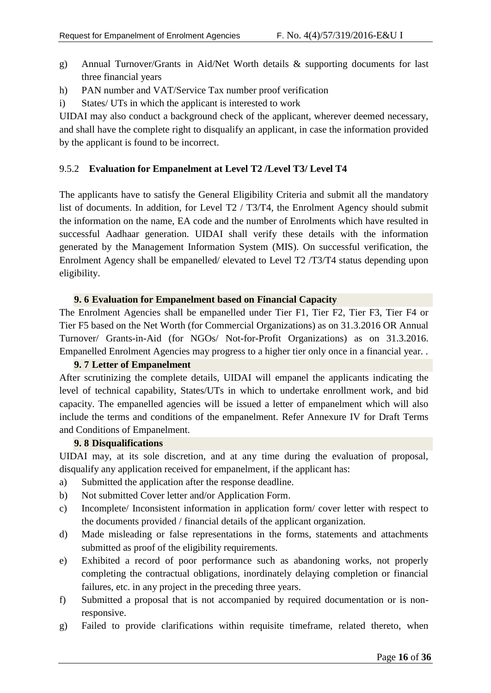- g) Annual Turnover/Grants in Aid/Net Worth details & supporting documents for last three financial years
- h) PAN number and VAT/Service Tax number proof verification
- i) States/ UTs in which the applicant is interested to work

UIDAI may also conduct a background check of the applicant, wherever deemed necessary, and shall have the complete right to disqualify an applicant, in case the information provided by the applicant is found to be incorrect.

#### <span id="page-15-0"></span>9.5.2 **Evaluation for Empanelment at Level T2 /Level T3/ Level T4**

The applicants have to satisfy the General Eligibility Criteria and submit all the mandatory list of documents. In addition, for Level T2 / T3/T4, the Enrolment Agency should submit the information on the name, EA code and the number of Enrolments which have resulted in successful Aadhaar generation. UIDAI shall verify these details with the information generated by the Management Information System (MIS). On successful verification, the Enrolment Agency shall be empanelled/ elevated to Level T2 /T3/T4 status depending upon eligibility.

#### **9. 6 Evaluation for Empanelment based on Financial Capacity**

<span id="page-15-1"></span>The Enrolment Agencies shall be empanelled under Tier F1, Tier F2, Tier F3, Tier F4 or Tier F5 based on the Net Worth (for Commercial Organizations) as on 31.3.2016 OR Annual Turnover/ Grants-in-Aid (for NGOs/ Not-for-Profit Organizations) as on 31.3.2016. Empanelled Enrolment Agencies may progress to a higher tier only once in a financial year. .

#### **9. 7 Letter of Empanelment**

<span id="page-15-2"></span>After scrutinizing the complete details, UIDAI will empanel the applicants indicating the level of technical capability, States/UTs in which to undertake enrollment work, and bid capacity. The empanelled agencies will be issued a letter of empanelment which will also include the terms and conditions of the empanelment. Refer Annexure IV for Draft Terms and Conditions of Empanelment.

#### **9. 8 Disqualifications**

<span id="page-15-3"></span>UIDAI may, at its sole discretion, and at any time during the evaluation of proposal, disqualify any application received for empanelment, if the applicant has:

- a) Submitted the application after the response deadline.
- b) Not submitted Cover letter and/or Application Form.
- c) Incomplete/ Inconsistent information in application form/ cover letter with respect to the documents provided / financial details of the applicant organization.
- d) Made misleading or false representations in the forms, statements and attachments submitted as proof of the eligibility requirements.
- e) Exhibited a record of poor performance such as abandoning works, not properly completing the contractual obligations, inordinately delaying completion or financial failures, etc. in any project in the preceding three years.
- f) Submitted a proposal that is not accompanied by required documentation or is nonresponsive.
- g) Failed to provide clarifications within requisite timeframe, related thereto, when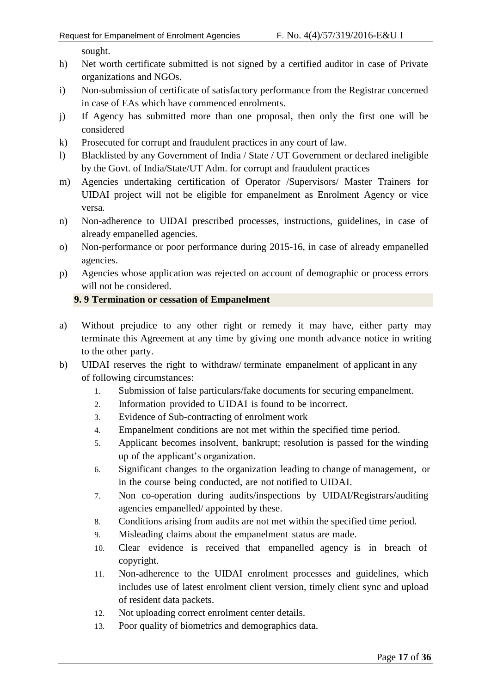sought.

- h) Net worth certificate submitted is not signed by a certified auditor in case of Private organizations and NGOs.
- i) Non-submission of certificate of satisfactory performance from the Registrar concerned in case of EAs which have commenced enrolments.
- j) If Agency has submitted more than one proposal, then only the first one will be considered
- k) Prosecuted for corrupt and fraudulent practices in any court of law.
- l) Blacklisted by any Government of India / State / UT Government or declared ineligible by the Govt. of India/State/UT Adm. for corrupt and fraudulent practices
- m) Agencies undertaking certification of Operator /Supervisors/ Master Trainers for UIDAI project will not be eligible for empanelment as Enrolment Agency or vice versa.
- n) Non-adherence to UIDAI prescribed processes, instructions, guidelines, in case of already empanelled agencies.
- o) Non-performance or poor performance during 2015-16, in case of already empanelled agencies.
- p) Agencies whose application was rejected on account of demographic or process errors will not be considered.

#### <span id="page-16-0"></span>**9. 9 Termination or cessation of Empanelment**

- a) Without prejudice to any other right or remedy it may have, either party may terminate this Agreement at any time by giving one month advance notice in writing to the other party.
- b) UIDAI reserves the right to withdraw/ terminate empanelment of applicant in any of following circumstances:
	- 1. Submission of false particulars/fake documents for securing empanelment.
	- 2. Information provided to UIDAI is found to be incorrect.
	- 3. Evidence of Sub-contracting of enrolment work
	- 4. Empanelment conditions are not met within the specified time period.
	- 5. Applicant becomes insolvent, bankrupt; resolution is passed for the winding up of the applicant"s organization.
	- 6. Significant changes to the organization leading to change of management, or in the course being conducted, are not notified to UIDAI.
	- 7. Non co-operation during audits/inspections by UIDAI/Registrars/auditing agencies empanelled/ appointed by these.
	- 8. Conditions arising from audits are not met within the specified time period.
	- 9. Misleading claims about the empanelment status are made.
	- 10. Clear evidence is received that empanelled agency is in breach of copyright.
	- 11. Non-adherence to the UIDAI enrolment processes and guidelines, which includes use of latest enrolment client version, timely client sync and upload of resident data packets.
	- 12. Not uploading correct enrolment center details.
	- 13. Poor quality of biometrics and demographics data.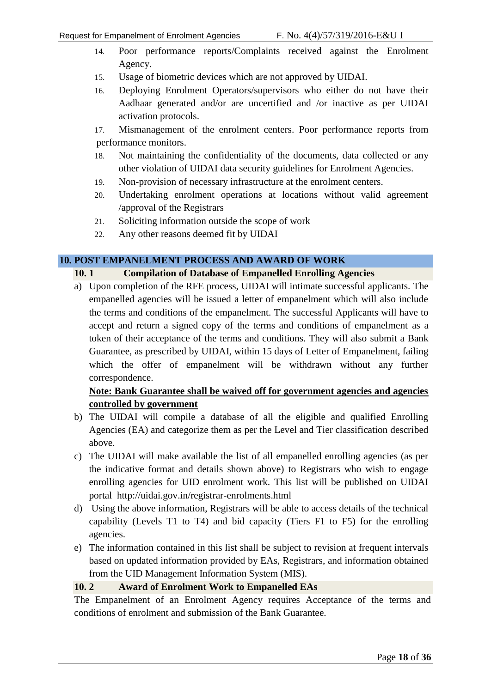- 14. Poor performance reports/Complaints received against the Enrolment Agency.
- 15. Usage of biometric devices which are not approved by UIDAI.
- 16. Deploying Enrolment Operators/supervisors who either do not have their Aadhaar generated and/or are uncertified and /or inactive as per UIDAI activation protocols.

17. Mismanagement of the enrolment centers. Poor performance reports from performance monitors.

- 18. Not maintaining the confidentiality of the documents, data collected or any other violation of UIDAI data security guidelines for Enrolment Agencies.
- 19. Non-provision of necessary infrastructure at the enrolment centers.
- 20. Undertaking enrolment operations at locations without valid agreement /approval of the Registrars
- 21. Soliciting information outside the scope of work
- <span id="page-17-1"></span>22. Any other reasons deemed fit by UIDAI

#### <span id="page-17-0"></span>**10. POST EMPANELMENT PROCESS AND AWARD OF WORK**

#### **10. 1 Compilation of Database of Empanelled Enrolling Agencies**

a) Upon completion of the RFE process, UIDAI will intimate successful applicants. The empanelled agencies will be issued a letter of empanelment which will also include the terms and conditions of the empanelment. The successful Applicants will have to accept and return a signed copy of the terms and conditions of empanelment as a token of their acceptance of the terms and conditions. They will also submit a Bank Guarantee, as prescribed by UIDAI, within 15 days of Letter of Empanelment, failing which the offer of empanelment will be withdrawn without any further correspondence.

#### **Note: Bank Guarantee shall be waived off for government agencies and agencies controlled by government**

- b) The UIDAI will compile a database of all the eligible and qualified Enrolling Agencies (EA) and categorize them as per the Level and Tier classification described above.
- c) The UIDAI will make available the list of all empanelled enrolling agencies (as per the indicative format and details shown above) to Registrars who wish to engage enrolling agencies for UID enrolment work. This list will be published on UIDAI portal http://uidai.gov.in/registrar-enrolments.html
- d) Using the above information, Registrars will be able to access details of the technical capability (Levels T1 to T4) and bid capacity (Tiers F1 to F5) for the enrolling agencies.
- e) The information contained in this list shall be subject to revision at frequent intervals based on updated information provided by EAs, Registrars, and information obtained from the UID Management Information System (MIS).

#### <span id="page-17-2"></span>**10. 2 Award of Enrolment Work to Empanelled EAs**

The Empanelment of an Enrolment Agency requires Acceptance of the terms and conditions of enrolment and submission of the Bank Guarantee.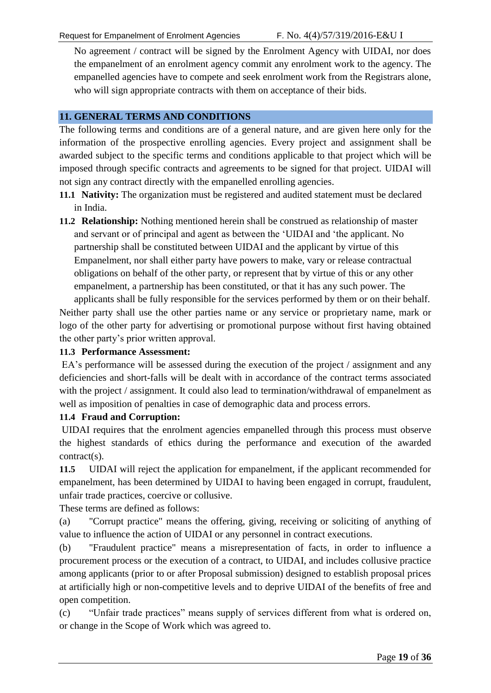No agreement / contract will be signed by the Enrolment Agency with UIDAI, nor does the empanelment of an enrolment agency commit any enrolment work to the agency. The empanelled agencies have to compete and seek enrolment work from the Registrars alone, who will sign appropriate contracts with them on acceptance of their bids.

#### <span id="page-18-0"></span>**11. GENERAL TERMS AND CONDITIONS**

The following terms and conditions are of a general nature, and are given here only for the information of the prospective enrolling agencies. Every project and assignment shall be awarded subject to the specific terms and conditions applicable to that project which will be imposed through specific contracts and agreements to be signed for that project. UIDAI will not sign any contract directly with the empanelled enrolling agencies.

- **11.1 Nativity:** The organization must be registered and audited statement must be declared in India.
- **11.2 Relationship:** Nothing mentioned herein shall be construed as relationship of master and servant or of principal and agent as between the "UIDAI and "the applicant. No partnership shall be constituted between UIDAI and the applicant by virtue of this Empanelment, nor shall either party have powers to make, vary or release contractual obligations on behalf of the other party, or represent that by virtue of this or any other empanelment, a partnership has been constituted, or that it has any such power. The applicants shall be fully responsible for the services performed by them or on their behalf.

Neither party shall use the other parties name or any service or proprietary name, mark or logo of the other party for advertising or promotional purpose without first having obtained the other party"s prior written approval.

#### **11.3 Performance Assessment:**

EA's performance will be assessed during the execution of the project / assignment and any deficiencies and short-falls will be dealt with in accordance of the contract terms associated with the project / assignment. It could also lead to termination/withdrawal of empanelment as well as imposition of penalties in case of demographic data and process errors.

#### **11.4 Fraud and Corruption:**

UIDAI requires that the enrolment agencies empanelled through this process must observe the highest standards of ethics during the performance and execution of the awarded contract(s).

**11.5** UIDAI will reject the application for empanelment, if the applicant recommended for empanelment, has been determined by UIDAI to having been engaged in corrupt, fraudulent, unfair trade practices, coercive or collusive.

These terms are defined as follows:

(a) "Corrupt practice" means the offering, giving, receiving or soliciting of anything of value to influence the action of UIDAI or any personnel in contract executions.

(b) "Fraudulent practice" means a misrepresentation of facts, in order to influence a procurement process or the execution of a contract, to UIDAI, and includes collusive practice among applicants (prior to or after Proposal submission) designed to establish proposal prices at artificially high or non-competitive levels and to deprive UIDAI of the benefits of free and open competition.

(c) "Unfair trade practices" means supply of services different from what is ordered on, or change in the Scope of Work which was agreed to.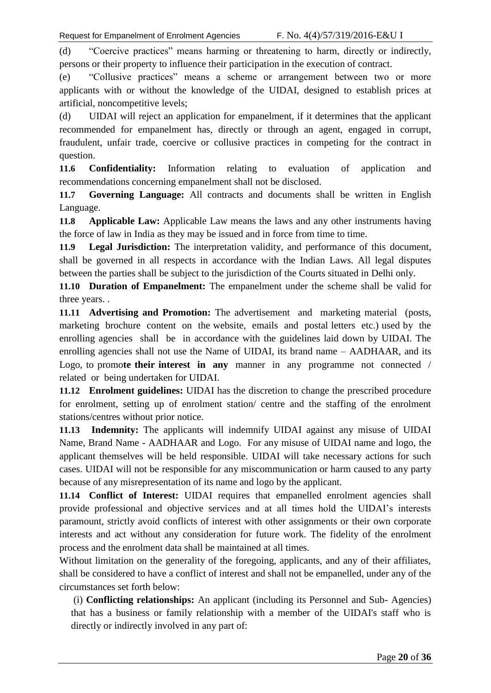(d) "Coercive practices" means harming or threatening to harm, directly or indirectly, persons or their property to influence their participation in the execution of contract.

(e) "Collusive practices" means a scheme or arrangement between two or more applicants with or without the knowledge of the UIDAI, designed to establish prices at artificial, noncompetitive levels;

(d) UIDAI will reject an application for empanelment, if it determines that the applicant recommended for empanelment has, directly or through an agent, engaged in corrupt, fraudulent, unfair trade, coercive or collusive practices in competing for the contract in question.

**11.6 Confidentiality:** Information relating to evaluation of application and recommendations concerning empanelment shall not be disclosed.

**11.7 Governing Language:** All contracts and documents shall be written in English Language.

**11.8 Applicable Law:** Applicable Law means the laws and any other instruments having the force of law in India as they may be issued and in force from time to time.

**11.9 Legal Jurisdiction:** The interpretation validity, and performance of this document, shall be governed in all respects in accordance with the Indian Laws. All legal disputes between the parties shall be subject to the jurisdiction of the Courts situated in Delhi only.

**11.10 Duration of Empanelment:** The empanelment under the scheme shall be valid for three years. .

**11.11 Advertising and Promotion:** The advertisement and marketing material (posts, marketing brochure content on the website, emails and postal letters etc.) used by the enrolling agencies shall be in accordance with the guidelines laid down by UIDAI. The enrolling agencies shall not use the Name of UIDAI, its brand name – AADHAAR, and its Logo, to promo**te their interest in any** manner in any programme not connected / related or being undertaken for UIDAI.

**11.12 Enrolment guidelines:** UIDAI has the discretion to change the prescribed procedure for enrolment, setting up of enrolment station/ centre and the staffing of the enrolment stations/centres without prior notice.

**11.13 Indemnity:** The applicants will indemnify UIDAI against any misuse of UIDAI Name, Brand Name - AADHAAR and Logo. For any misuse of UIDAI name and logo, the applicant themselves will be held responsible. UIDAI will take necessary actions for such cases. UIDAI will not be responsible for any miscommunication or harm caused to any party because of any misrepresentation of its name and logo by the applicant.

**11.14 Conflict of Interest:** UIDAI requires that empanelled enrolment agencies shall provide professional and objective services and at all times hold the UIDAI"s interests paramount, strictly avoid conflicts of interest with other assignments or their own corporate interests and act without any consideration for future work. The fidelity of the enrolment process and the enrolment data shall be maintained at all times.

Without limitation on the generality of the foregoing, applicants, and any of their affiliates, shall be considered to have a conflict of interest and shall not be empanelled, under any of the circumstances set forth below:

(i) **Conflicting relationships:** An applicant (including its Personnel and Sub- Agencies) that has a business or family relationship with a member of the UIDAI's staff who is directly or indirectly involved in any part of: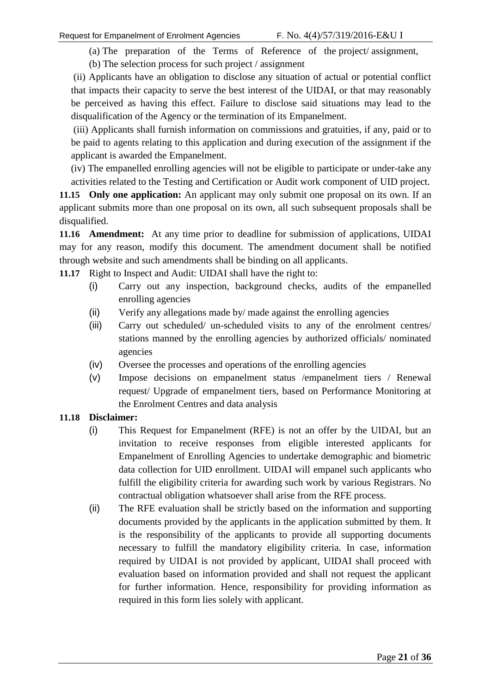(a) The preparation of the Terms of Reference of the project/ assignment,

(b) The selection process for such project / assignment

(ii) Applicants have an obligation to disclose any situation of actual or potential conflict that impacts their capacity to serve the best interest of the UIDAI, or that may reasonably be perceived as having this effect. Failure to disclose said situations may lead to the disqualification of the Agency or the termination of its Empanelment.

(iii) Applicants shall furnish information on commissions and gratuities, if any, paid or to be paid to agents relating to this application and during execution of the assignment if the applicant is awarded the Empanelment.

(iv) The empanelled enrolling agencies will not be eligible to participate or under-take any activities related to the Testing and Certification or Audit work component of UID project.

**11.15 Only one application:** An applicant may only submit one proposal on its own. If an applicant submits more than one proposal on its own, all such subsequent proposals shall be disqualified.

**11.16 Amendment:** At any time prior to deadline for submission of applications, UIDAI may for any reason, modify this document. The amendment document shall be notified through website and such amendments shall be binding on all applicants.

**11.17** Right to Inspect and Audit: UIDAI shall have the right to:

- (i) Carry out any inspection, background checks, audits of the empanelled enrolling agencies
- (ii) Verify any allegations made by/ made against the enrolling agencies
- (iii) Carry out scheduled/ un-scheduled visits to any of the enrolment centres/ stations manned by the enrolling agencies by authorized officials/ nominated agencies
- (iv) Oversee the processes and operations of the enrolling agencies
- (v) Impose decisions on empanelment status /empanelment tiers / Renewal request/ Upgrade of empanelment tiers, based on Performance Monitoring at the Enrolment Centres and data analysis

#### **11.18 Disclaimer:**

- (i) This Request for Empanelment (RFE) is not an offer by the UIDAI, but an invitation to receive responses from eligible interested applicants for Empanelment of Enrolling Agencies to undertake demographic and biometric data collection for UID enrollment. UIDAI will empanel such applicants who fulfill the eligibility criteria for awarding such work by various Registrars. No contractual obligation whatsoever shall arise from the RFE process.
- (ii) The RFE evaluation shall be strictly based on the information and supporting documents provided by the applicants in the application submitted by them. It is the responsibility of the applicants to provide all supporting documents necessary to fulfill the mandatory eligibility criteria. In case, information required by UIDAI is not provided by applicant, UIDAI shall proceed with evaluation based on information provided and shall not request the applicant for further information. Hence, responsibility for providing information as required in this form lies solely with applicant.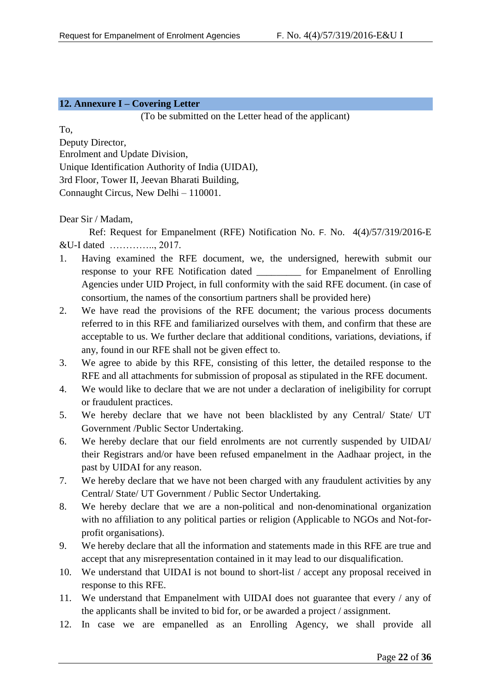#### <span id="page-21-0"></span>**12. Annexure I – Covering Letter**

(To be submitted on the Letter head of the applicant)

To,

Deputy Director, Enrolment and Update Division, Unique Identification Authority of India (UIDAI), 3rd Floor, Tower II, Jeevan Bharati Building, Connaught Circus, New Delhi – 110001.

Dear Sir / Madam,

Ref: Request for Empanelment (RFE) Notification No. F. No. 4(4)/57/319/2016-E &U-I dated ………….., 2017.

- 1. Having examined the RFE document, we, the undersigned, herewith submit our response to your RFE Notification dated \_\_\_\_\_\_\_\_\_ for Empanelment of Enrolling Agencies under UID Project, in full conformity with the said RFE document. (in case of consortium, the names of the consortium partners shall be provided here)
- 2. We have read the provisions of the RFE document; the various process documents referred to in this RFE and familiarized ourselves with them, and confirm that these are acceptable to us. We further declare that additional conditions, variations, deviations, if any, found in our RFE shall not be given effect to.
- 3. We agree to abide by this RFE, consisting of this letter, the detailed response to the RFE and all attachments for submission of proposal as stipulated in the RFE document.
- 4. We would like to declare that we are not under a declaration of ineligibility for corrupt or fraudulent practices.
- 5. We hereby declare that we have not been blacklisted by any Central/ State/ UT Government /Public Sector Undertaking.
- 6. We hereby declare that our field enrolments are not currently suspended by UIDAI/ their Registrars and/or have been refused empanelment in the Aadhaar project, in the past by UIDAI for any reason.
- 7. We hereby declare that we have not been charged with any fraudulent activities by any Central/ State/ UT Government / Public Sector Undertaking.
- 8. We hereby declare that we are a non-political and non-denominational organization with no affiliation to any political parties or religion (Applicable to NGOs and Not-forprofit organisations).
- 9. We hereby declare that all the information and statements made in this RFE are true and accept that any misrepresentation contained in it may lead to our disqualification.
- 10. We understand that UIDAI is not bound to short-list / accept any proposal received in response to this RFE.
- 11. We understand that Empanelment with UIDAI does not guarantee that every / any of the applicants shall be invited to bid for, or be awarded a project / assignment.
- 12. In case we are empanelled as an Enrolling Agency, we shall provide all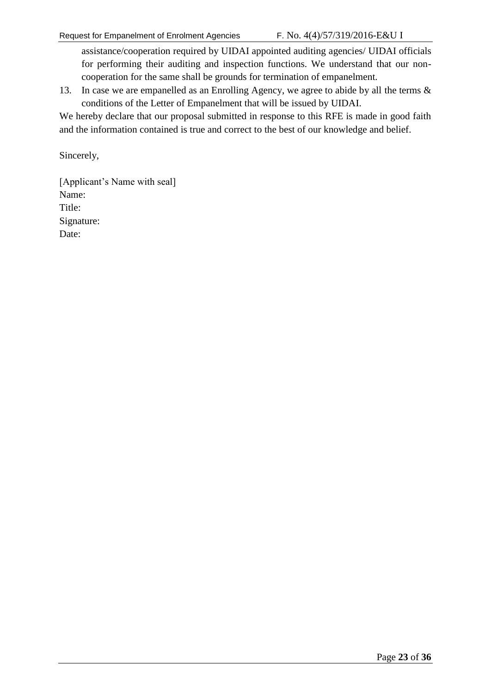assistance/cooperation required by UIDAI appointed auditing agencies/ UIDAI officials for performing their auditing and inspection functions. We understand that our noncooperation for the same shall be grounds for termination of empanelment.

13. In case we are empanelled as an Enrolling Agency, we agree to abide by all the terms & conditions of the Letter of Empanelment that will be issued by UIDAI.

We hereby declare that our proposal submitted in response to this RFE is made in good faith and the information contained is true and correct to the best of our knowledge and belief.

Sincerely,

[Applicant's Name with seal] Name: Title: Signature: Date: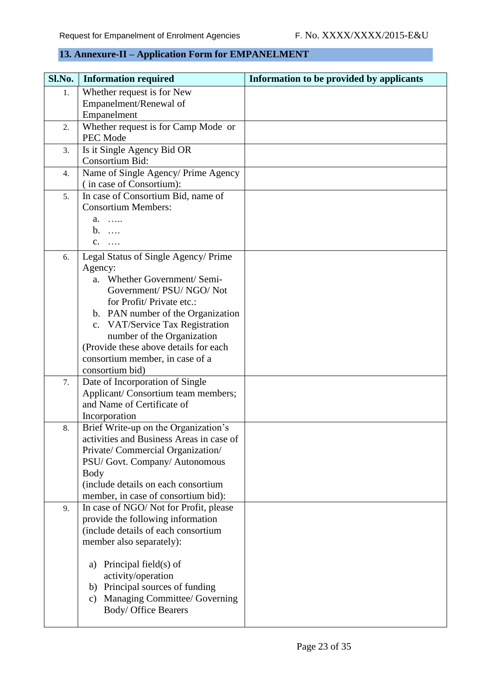### <span id="page-23-0"></span>**13. Annexure-II – Application Form for EMPANELMENT**

| Sl.No. | <b>Information required</b>                 | Information to be provided by applicants |
|--------|---------------------------------------------|------------------------------------------|
| 1.     | Whether request is for New                  |                                          |
|        | Empanelment/Renewal of                      |                                          |
|        | Empanelment                                 |                                          |
| 2.     | Whether request is for Camp Mode or         |                                          |
|        | PEC Mode                                    |                                          |
| 3.     | Is it Single Agency Bid OR                  |                                          |
|        | Consortium Bid:                             |                                          |
| 4.     | Name of Single Agency/ Prime Agency         |                                          |
|        | (in case of Consortium):                    |                                          |
| 5.     | In case of Consortium Bid, name of          |                                          |
|        | <b>Consortium Members:</b>                  |                                          |
|        | a.<br>.                                     |                                          |
|        | $b. \ldots$                                 |                                          |
|        | $C.$                                        |                                          |
| 6.     | Legal Status of Single Agency/ Prime        |                                          |
|        | Agency:                                     |                                          |
|        | a. Whether Government/ Semi-                |                                          |
|        | Government/ PSU/ NGO/ Not                   |                                          |
|        | for Profit/Private etc.:                    |                                          |
|        | b. PAN number of the Organization           |                                          |
|        | c. VAT/Service Tax Registration             |                                          |
|        | number of the Organization                  |                                          |
|        | (Provide these above details for each       |                                          |
|        | consortium member, in case of a             |                                          |
|        | consortium bid)                             |                                          |
| 7.     | Date of Incorporation of Single             |                                          |
|        | Applicant/ Consortium team members;         |                                          |
|        | and Name of Certificate of                  |                                          |
|        | Incorporation                               |                                          |
| 8.     | Brief Write-up on the Organization's        |                                          |
|        | activities and Business Areas in case of    |                                          |
|        | Private/ Commercial Organization/           |                                          |
|        | PSU/ Govt. Company/ Autonomous              |                                          |
|        | Body<br>(include details on each consortium |                                          |
|        | member, in case of consortium bid):         |                                          |
| 9.     | In case of NGO/Not for Profit, please       |                                          |
|        | provide the following information           |                                          |
|        | (include details of each consortium         |                                          |
|        | member also separately):                    |                                          |
|        |                                             |                                          |
|        | Principal field(s) of<br>a)                 |                                          |
|        | activity/operation                          |                                          |
|        | b) Principal sources of funding             |                                          |
|        | c) Managing Committee/ Governing            |                                          |
|        | Body/ Office Bearers                        |                                          |
|        |                                             |                                          |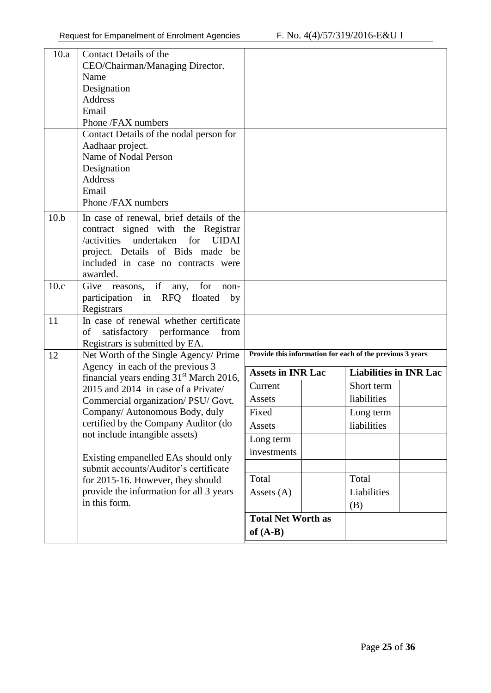| 10.a | Contact Details of the                                                  |                                                           |                               |  |  |  |
|------|-------------------------------------------------------------------------|-----------------------------------------------------------|-------------------------------|--|--|--|
|      | CEO/Chairman/Managing Director.                                         |                                                           |                               |  |  |  |
|      | Name                                                                    |                                                           |                               |  |  |  |
|      | Designation                                                             |                                                           |                               |  |  |  |
|      | Address                                                                 |                                                           |                               |  |  |  |
|      | Email                                                                   |                                                           |                               |  |  |  |
|      | Phone /FAX numbers                                                      |                                                           |                               |  |  |  |
|      | Contact Details of the nodal person for                                 |                                                           |                               |  |  |  |
|      | Aadhaar project.                                                        |                                                           |                               |  |  |  |
|      | Name of Nodal Person                                                    |                                                           |                               |  |  |  |
|      | Designation                                                             |                                                           |                               |  |  |  |
|      | Address                                                                 |                                                           |                               |  |  |  |
|      | Email                                                                   |                                                           |                               |  |  |  |
|      | Phone /FAX numbers                                                      |                                                           |                               |  |  |  |
| 10.b | In case of renewal, brief details of the                                |                                                           |                               |  |  |  |
|      | contract signed with the Registrar                                      |                                                           |                               |  |  |  |
|      | undertaken for<br>/activities<br><b>UIDAI</b>                           |                                                           |                               |  |  |  |
|      | project. Details of Bids made be                                        |                                                           |                               |  |  |  |
|      | included in case no contracts were                                      |                                                           |                               |  |  |  |
|      | awarded.                                                                |                                                           |                               |  |  |  |
| 10.c | reasons, if any,<br>Give<br>for<br>non-                                 |                                                           |                               |  |  |  |
|      | participation in RFQ floated<br>by                                      |                                                           |                               |  |  |  |
|      | Registrars                                                              |                                                           |                               |  |  |  |
| 11   | In case of renewal whether certificate                                  |                                                           |                               |  |  |  |
|      | satisfactory performance<br>of<br>from                                  |                                                           |                               |  |  |  |
| 12   | Registrars is submitted by EA.<br>Net Worth of the Single Agency/ Prime | Provide this information for each of the previous 3 years |                               |  |  |  |
|      | Agency in each of the previous 3                                        |                                                           |                               |  |  |  |
|      | financial years ending 31 <sup>st</sup> March 2016,                     | <b>Assets in INR Lac</b>                                  | <b>Liabilities in INR Lac</b> |  |  |  |
|      | 2015 and 2014 in case of a Private/                                     | Current                                                   | Short term                    |  |  |  |
|      | Commercial organization/PSU/Govt.                                       | Assets                                                    | liabilities                   |  |  |  |
|      | Company/ Autonomous Body, duly                                          | Fixed                                                     | Long term                     |  |  |  |
|      | certified by the Company Auditor (do                                    | Assets                                                    | liabilities                   |  |  |  |
|      | not include intangible assets)                                          | Long term                                                 |                               |  |  |  |
|      |                                                                         | investments                                               |                               |  |  |  |
|      | Existing empanelled EAs should only                                     |                                                           |                               |  |  |  |
|      | submit accounts/Auditor's certificate                                   |                                                           |                               |  |  |  |
|      | for 2015-16. However, they should                                       | Total                                                     | Total                         |  |  |  |
|      | provide the information for all 3 years                                 | Assets (A)                                                | Liabilities                   |  |  |  |
|      | in this form.                                                           |                                                           | (B)                           |  |  |  |
|      |                                                                         | <b>Total Net Worth as</b>                                 |                               |  |  |  |
|      |                                                                         | of $(A-B)$                                                |                               |  |  |  |
|      |                                                                         |                                                           |                               |  |  |  |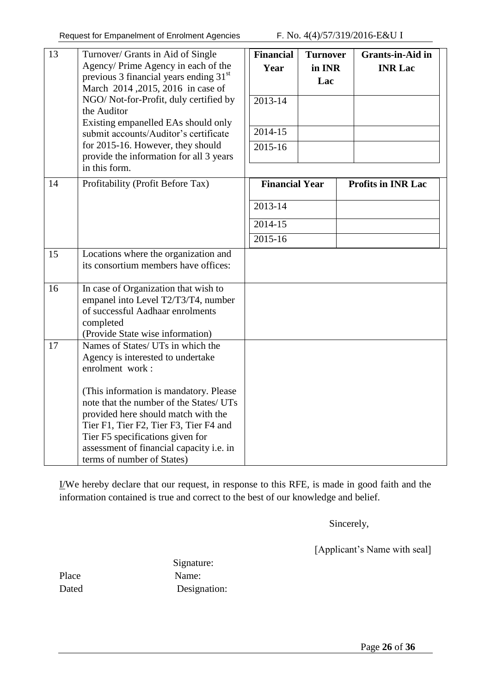| 13<br>14 | Turnover/ Grants in Aid of Single<br>Agency/ Prime Agency in each of the<br>previous 3 financial years ending 31 <sup>st</sup><br>March 2014, 2015, 2016 in case of<br>NGO/Not-for-Profit, duly certified by<br>the Auditor<br>Existing empanelled EAs should only<br>submit accounts/Auditor's certificate<br>for 2015-16. However, they should<br>provide the information for all 3 years<br>in this form.<br>Profitability (Profit Before Tax) | <b>Financial</b><br>Year<br>2013-14<br>2014-15<br>2015-16<br><b>Financial Year</b> | <b>Turnover</b><br>in INR<br>Lac | <b>Grants-in-Aid in</b><br><b>INR Lac</b> |  |
|----------|---------------------------------------------------------------------------------------------------------------------------------------------------------------------------------------------------------------------------------------------------------------------------------------------------------------------------------------------------------------------------------------------------------------------------------------------------|------------------------------------------------------------------------------------|----------------------------------|-------------------------------------------|--|
|          |                                                                                                                                                                                                                                                                                                                                                                                                                                                   | 2013-14<br>2014-15<br>2015-16                                                      |                                  | <b>Profits in INR Lac</b>                 |  |
| 15       | Locations where the organization and<br>its consortium members have offices:                                                                                                                                                                                                                                                                                                                                                                      |                                                                                    |                                  |                                           |  |
| 16       | In case of Organization that wish to<br>empanel into Level T2/T3/T4, number<br>of successful Aadhaar enrolments<br>completed<br>(Provide State wise information)                                                                                                                                                                                                                                                                                  |                                                                                    |                                  |                                           |  |
| 17       | Names of States/ UTs in which the<br>Agency is interested to undertake<br>enrolment work:<br>(This information is mandatory. Please)<br>note that the number of the States/ UTs<br>provided here should match with the<br>Tier F1, Tier F2, Tier F3, Tier F4 and<br>Tier F5 specifications given for<br>assessment of financial capacity i.e. in<br>terms of number of States)                                                                    |                                                                                    |                                  |                                           |  |

I/We hereby declare that our request, in response to this RFE, is made in good faith and the information contained is true and correct to the best of our knowledge and belief.

Sincerely,

[Applicant's Name with seal]

 Signature: Place Name: Dated Designation: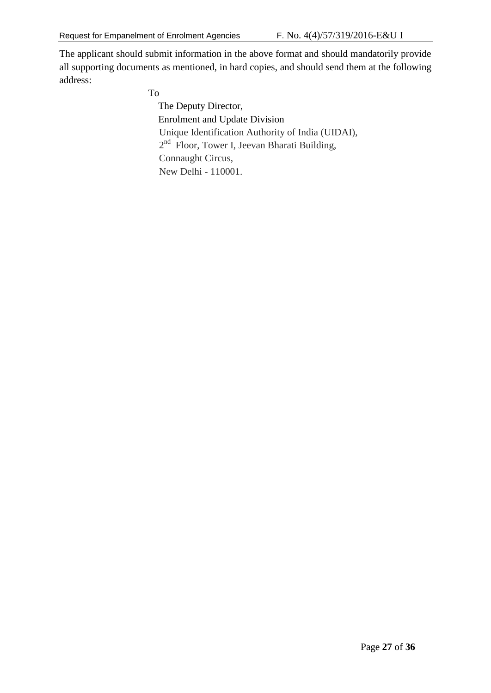The applicant should submit information in the above format and should mandatorily provide all supporting documents as mentioned, in hard copies, and should send them at the following address:

To

 The Deputy Director, Enrolment and Update Division Unique Identification Authority of India (UIDAI), 2<sup>nd</sup> Floor, Tower I, Jeevan Bharati Building, Connaught Circus, New Delhi - 110001.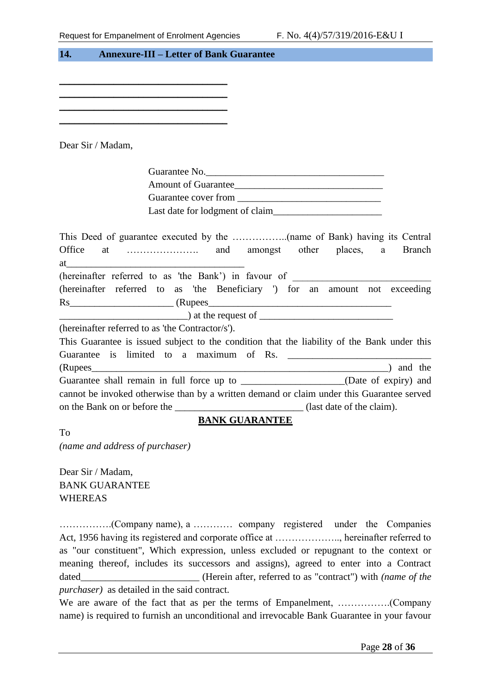<span id="page-27-0"></span>

| 14.<br><b>Annexure-III – Letter of Bank Guarantee</b>                                                                                                                                                                                                       |               |
|-------------------------------------------------------------------------------------------------------------------------------------------------------------------------------------------------------------------------------------------------------------|---------------|
|                                                                                                                                                                                                                                                             |               |
|                                                                                                                                                                                                                                                             |               |
|                                                                                                                                                                                                                                                             |               |
|                                                                                                                                                                                                                                                             |               |
|                                                                                                                                                                                                                                                             |               |
|                                                                                                                                                                                                                                                             |               |
| Dear Sir / Madam,                                                                                                                                                                                                                                           |               |
|                                                                                                                                                                                                                                                             |               |
| Guarantee No.                                                                                                                                                                                                                                               |               |
|                                                                                                                                                                                                                                                             |               |
|                                                                                                                                                                                                                                                             |               |
|                                                                                                                                                                                                                                                             |               |
| Office<br>(hereinafter referred to as 'the Bank') in favour of ____________________________<br>(hereinafter referred to as 'the Beneficiary ') for an amount not exceeding<br>$\frac{1}{2}$ at the request of $\frac{1}{2}$ at the request of $\frac{1}{2}$ | <b>Branch</b> |
| (hereinafter referred to as 'the Contractor/s').                                                                                                                                                                                                            |               |
| This Guarantee is issued subject to the condition that the liability of the Bank under this<br>Guarantee is limited to a maximum of Rs.                                                                                                                     |               |
|                                                                                                                                                                                                                                                             |               |
|                                                                                                                                                                                                                                                             |               |
| cannot be invoked otherwise than by a written demand or claim under this Guarantee served                                                                                                                                                                   |               |
| on the Bank on or before the ________________________________(last date of the claim).                                                                                                                                                                      |               |
| <b>BANK GUARANTEE</b>                                                                                                                                                                                                                                       |               |
| <b>To</b>                                                                                                                                                                                                                                                   |               |
| (name and address of purchaser)                                                                                                                                                                                                                             |               |

Dear Sir / Madam, BANK GUARANTEE WHEREAS

…………….(Company name), a ………… company registered under the Companies Act, 1956 having its registered and corporate office at ……………….., hereinafter referred to as "our constituent", Which expression, unless excluded or repugnant to the context or meaning thereof, includes its successors and assigns), agreed to enter into a Contract dated\_\_\_\_\_\_\_\_\_\_\_\_\_\_\_\_\_\_\_\_\_\_\_\_ (Herein after, referred to as "contract") with *(name of the purchaser)* as detailed in the said contract.

We are aware of the fact that as per the terms of Empanelment, …………….(Company name) is required to furnish an unconditional and irrevocable Bank Guarantee in your favour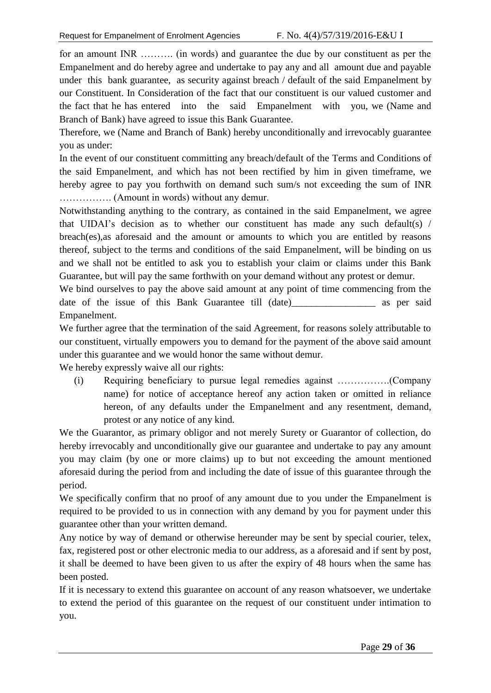for an amount INR ………. (in words) and guarantee the due by our constituent as per the Empanelment and do hereby agree and undertake to pay any and all amount due and payable under this bank guarantee, as security against breach / default of the said Empanelment by our Constituent. In Consideration of the fact that our constituent is our valued customer and the fact that he has entered into the said Empanelment with you, we (Name and Branch of Bank) have agreed to issue this Bank Guarantee.

Therefore, we (Name and Branch of Bank) hereby unconditionally and irrevocably guarantee you as under:

In the event of our constituent committing any breach/default of the Terms and Conditions of the said Empanelment, and which has not been rectified by him in given timeframe, we hereby agree to pay you forthwith on demand such sum/s not exceeding the sum of INR ……………. (Amount in words) without any demur.

Notwithstanding anything to the contrary, as contained in the said Empanelment, we agree that UIDAI"s decision as to whether our constituent has made any such default(s) / breach(es),as aforesaid and the amount or amounts to which you are entitled by reasons thereof, subject to the terms and conditions of the said Empanelment, will be binding on us and we shall not be entitled to ask you to establish your claim or claims under this Bank Guarantee, but will pay the same forthwith on your demand without any protest or demur.

We bind ourselves to pay the above said amount at any point of time commencing from the date of the issue of this Bank Guarantee till (date) as per said Empanelment.

We further agree that the termination of the said Agreement, for reasons solely attributable to our constituent, virtually empowers you to demand for the payment of the above said amount under this guarantee and we would honor the same without demur.

We hereby expressly waive all our rights:

(i) Requiring beneficiary to pursue legal remedies against …………….(Company name) for notice of acceptance hereof any action taken or omitted in reliance hereon, of any defaults under the Empanelment and any resentment, demand, protest or any notice of any kind.

We the Guarantor, as primary obligor and not merely Surety or Guarantor of collection, do hereby irrevocably and unconditionally give our guarantee and undertake to pay any amount you may claim (by one or more claims) up to but not exceeding the amount mentioned aforesaid during the period from and including the date of issue of this guarantee through the period.

We specifically confirm that no proof of any amount due to you under the Empanelment is required to be provided to us in connection with any demand by you for payment under this guarantee other than your written demand.

Any notice by way of demand or otherwise hereunder may be sent by special courier, telex, fax, registered post or other electronic media to our address, as a aforesaid and if sent by post, it shall be deemed to have been given to us after the expiry of 48 hours when the same has been posted.

If it is necessary to extend this guarantee on account of any reason whatsoever, we undertake to extend the period of this guarantee on the request of our constituent under intimation to you.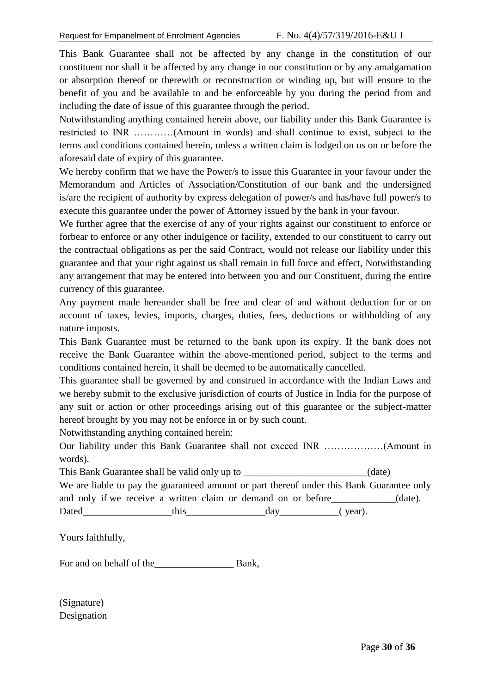This Bank Guarantee shall not be affected by any change in the constitution of our constituent nor shall it be affected by any change in our constitution or by any amalgamation or absorption thereof or therewith or reconstruction or winding up, but will ensure to the benefit of you and be available to and be enforceable by you during the period from and including the date of issue of this guarantee through the period.

Notwithstanding anything contained herein above, our liability under this Bank Guarantee is restricted to INR …………(Amount in words) and shall continue to exist, subject to the terms and conditions contained herein, unless a written claim is lodged on us on or before the aforesaid date of expiry of this guarantee.

We hereby confirm that we have the Power/s to issue this Guarantee in your favour under the Memorandum and Articles of Association/Constitution of our bank and the undersigned is/are the recipient of authority by express delegation of power/s and has/have full power/s to execute this guarantee under the power of Attorney issued by the bank in your favour.

We further agree that the exercise of any of your rights against our constituent to enforce or forbear to enforce or any other indulgence or facility, extended to our constituent to carry out the contractual obligations as per the said Contract, would not release our liability under this guarantee and that your right against us shall remain in full force and effect, Notwithstanding any arrangement that may be entered into between you and our Constituent, during the entire currency of this guarantee.

Any payment made hereunder shall be free and clear of and without deduction for or on account of taxes, levies, imports, charges, duties, fees, deductions or withholding of any nature imposts.

This Bank Guarantee must be returned to the bank upon its expiry. If the bank does not receive the Bank Guarantee within the above-mentioned period, subject to the terms and conditions contained herein, it shall be deemed to be automatically cancelled.

This guarantee shall be governed by and construed in accordance with the Indian Laws and we hereby submit to the exclusive jurisdiction of courts of Justice in India for the purpose of any suit or action or other proceedings arising out of this guarantee or the subject-matter hereof brought by you may not be enforce in or by such count.

Notwithstanding anything contained herein:

Our liability under this Bank Guarantee shall not exceed INR ………………(Amount in words).

This Bank Guarantee shall be valid only up to *\_\_\_\_\_\_\_\_\_\_\_\_\_\_\_\_\_\_\_\_\_\_\_\_\_\_* (date)

|       |  |      |  |     |                                                               | We are liable to pay the guaranteed amount or part thereof under this Bank Guarantee only |            |
|-------|--|------|--|-----|---------------------------------------------------------------|-------------------------------------------------------------------------------------------|------------|
|       |  |      |  |     | and only if we receive a written claim or demand on or before |                                                                                           | $(data)$ . |
| Dated |  | this |  | dav |                                                               | (year).                                                                                   |            |

Yours faithfully,

For and on behalf of the\_\_\_\_\_\_\_\_\_\_\_\_\_\_\_\_ Bank,

(Signature) Designation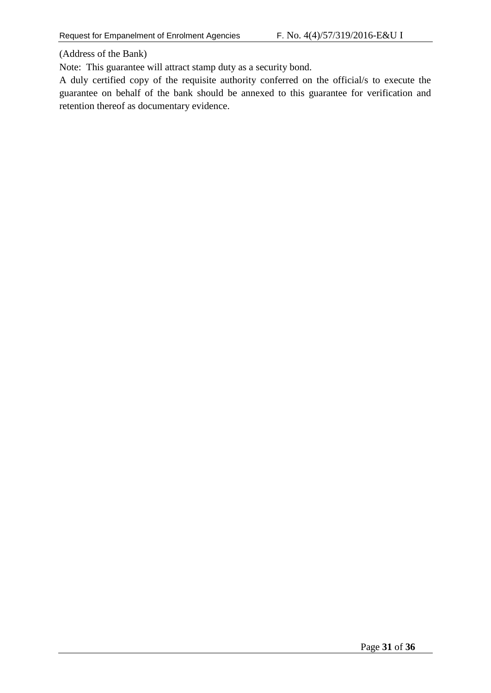(Address of the Bank)

Note: This guarantee will attract stamp duty as a security bond.

A duly certified copy of the requisite authority conferred on the official/s to execute the guarantee on behalf of the bank should be annexed to this guarantee for verification and retention thereof as documentary evidence.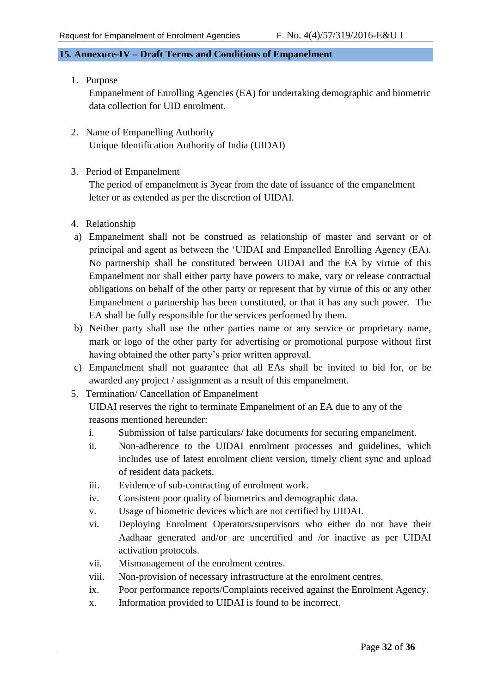#### <span id="page-31-0"></span>**15. Annexure-IV – Draft Terms and Conditions of Empanelment**

1. Purpose

Empanelment of Enrolling Agencies (EA) for undertaking demographic and biometric data collection for UID enrolment.

- 2. Name of Empanelling Authority Unique Identification Authority of India (UIDAI)
- 3. Period of Empanelment

The period of empanelment is 3year from the date of issuance of the empanelment letter or as extended as per the discretion of UIDAI.

- 4. Relationship
- a) Empanelment shall not be construed as relationship of master and servant or of principal and agent as between the "UIDAI and Empanelled Enrolling Agency (EA). No partnership shall be constituted between UIDAI and the EA by virtue of this Empanelment nor shall either party have powers to make, vary or release contractual obligations on behalf of the other party or represent that by virtue of this or any other Empanelment a partnership has been constituted, or that it has any such power. The EA shall be fully responsible for the services performed by them.
- b) Neither party shall use the other parties name or any service or proprietary name, mark or logo of the other party for advertising or promotional purpose without first having obtained the other party's prior written approval.
- c) Empanelment shall not guarantee that all EAs shall be invited to bid for, or be awarded any project / assignment as a result of this empanelment.
- 5. Termination/ Cancellation of Empanelment

UIDAI reserves the right to terminate Empanelment of an EA due to any of the reasons mentioned hereunder:

- i. Submission of false particulars/ fake documents for securing empanelment.
- ii. Non-adherence to the UIDAI enrolment processes and guidelines, which includes use of latest enrolment client version, timely client sync and upload of resident data packets.
- iii. Evidence of sub-contracting of enrolment work.
- iv. Consistent poor quality of biometrics and demographic data.
- v. Usage of biometric devices which are not certified by UIDAI.
- vi. Deploying Enrolment Operators/supervisors who either do not have their Aadhaar generated and/or are uncertified and /or inactive as per UIDAI activation protocols.
- vii. Mismanagement of the enrolment centres.
- viii. Non-provision of necessary infrastructure at the enrolment centres.
- ix. Poor performance reports/Complaints received against the Enrolment Agency.
- x. Information provided to UIDAI is found to be incorrect.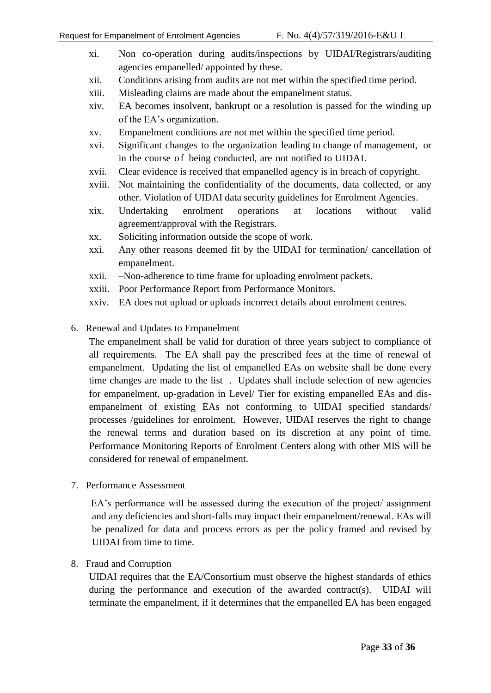- xi. Non co-operation during audits/inspections by UIDAI/Registrars/auditing agencies empanelled/ appointed by these.
- xii. Conditions arising from audits are not met within the specified time period.
- xiii. Misleading claims are made about the empanelment status.
- xiv. EA becomes insolvent, bankrupt or a resolution is passed for the winding up of the EA"s organization.
- xv. Empanelment conditions are not met within the specified time period.
- xvi. Significant changes to the organization leading to change of management, or in the course of being conducted, are not notified to UIDAI.
- xvii. Clear evidence is received that empanelled agency is in breach of copyright.
- xviii. Not maintaining the confidentiality of the documents, data collected, or any other. Violation of UIDAI data security guidelines for Enrolment Agencies.
- xix. Undertaking enrolment operations at locations without valid agreement/approval with the Registrars.
- xx. Soliciting information outside the scope of work.
- xxi. Any other reasons deemed fit by the UIDAI for termination/ cancellation of empanelment.
- xxii. –Non-adherence to time frame for uploading enrolment packets.
- xxiii. Poor Performance Report from Performance Monitors.
- xxiv. EA does not upload or uploads incorrect details about enrolment centres.
- 6. Renewal and Updates to Empanelment

The empanelment shall be valid for duration of three years subject to compliance of all requirements. The EA shall pay the prescribed fees at the time of renewal of empanelment. Updating the list of empanelled EAs on website shall be done every time changes are made to the list . Updates shall include selection of new agencies for empanelment, up-gradation in Level/ Tier for existing empanelled EAs and disempanelment of existing EAs not conforming to UIDAI specified standards/ processes /guidelines for enrolment. However, UIDAI reserves the right to change the renewal terms and duration based on its discretion at any point of time. Performance Monitoring Reports of Enrolment Centers along with other MIS will be considered for renewal of empanelment.

7. Performance Assessment

EA's performance will be assessed during the execution of the project/ assignment and any deficiencies and short-falls may impact their empanelment/renewal. EAs will be penalized for data and process errors as per the policy framed and revised by UIDAI from time to time.

#### 8. Fraud and Corruption

UIDAI requires that the EA/Consortium must observe the highest standards of ethics during the performance and execution of the awarded contract(s). UIDAI will terminate the empanelment, if it determines that the empanelled EA has been engaged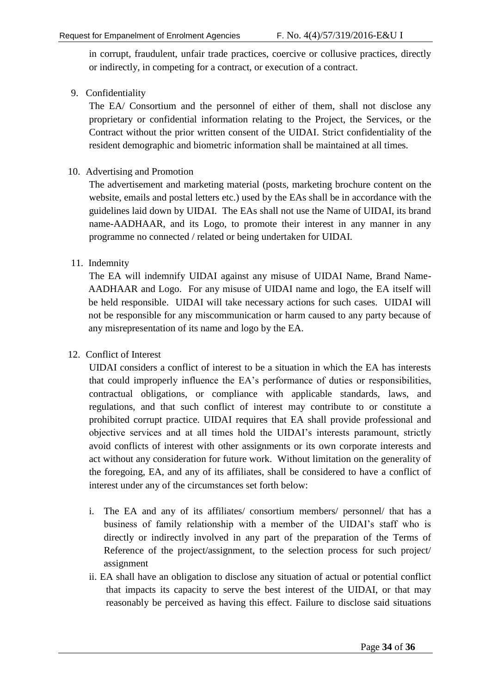in corrupt, fraudulent, unfair trade practices, coercive or collusive practices, directly or indirectly, in competing for a contract, or execution of a contract.

#### 9. Confidentiality

The EA/ Consortium and the personnel of either of them, shall not disclose any proprietary or confidential information relating to the Project, the Services, or the Contract without the prior written consent of the UIDAI. Strict confidentiality of the resident demographic and biometric information shall be maintained at all times.

#### 10. Advertising and Promotion

The advertisement and marketing material (posts, marketing brochure content on the website, emails and postal letters etc.) used by the EAs shall be in accordance with the guidelines laid down by UIDAI. The EAs shall not use the Name of UIDAI, its brand name-AADHAAR, and its Logo, to promote their interest in any manner in any programme no connected / related or being undertaken for UIDAI.

#### 11. Indemnity

The EA will indemnify UIDAI against any misuse of UIDAI Name, Brand Name-AADHAAR and Logo. For any misuse of UIDAI name and logo, the EA itself will be held responsible. UIDAI will take necessary actions for such cases. UIDAI will not be responsible for any miscommunication or harm caused to any party because of any misrepresentation of its name and logo by the EA.

#### 12. Conflict of Interest

UIDAI considers a conflict of interest to be a situation in which the EA has interests that could improperly influence the EA"s performance of duties or responsibilities, contractual obligations, or compliance with applicable standards, laws, and regulations, and that such conflict of interest may contribute to or constitute a prohibited corrupt practice. UIDAI requires that EA shall provide professional and objective services and at all times hold the UIDAI"s interests paramount, strictly avoid conflicts of interest with other assignments or its own corporate interests and act without any consideration for future work. Without limitation on the generality of the foregoing, EA, and any of its affiliates, shall be considered to have a conflict of interest under any of the circumstances set forth below:

- i. The EA and any of its affiliates/ consortium members/ personnel/ that has a business of family relationship with a member of the UIDAI"s staff who is directly or indirectly involved in any part of the preparation of the Terms of Reference of the project/assignment, to the selection process for such project/ assignment
- ii. EA shall have an obligation to disclose any situation of actual or potential conflict that impacts its capacity to serve the best interest of the UIDAI, or that may reasonably be perceived as having this effect. Failure to disclose said situations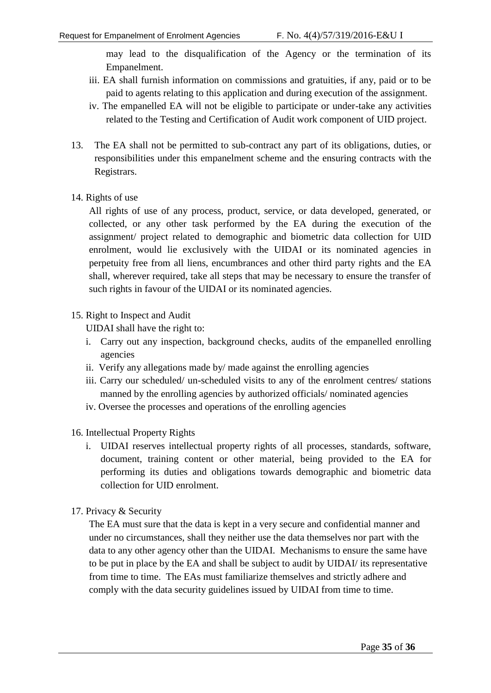may lead to the disqualification of the Agency or the termination of its Empanelment.

- iii. EA shall furnish information on commissions and gratuities, if any, paid or to be paid to agents relating to this application and during execution of the assignment.
- iv. The empanelled EA will not be eligible to participate or under-take any activities related to the Testing and Certification of Audit work component of UID project.
- 13. The EA shall not be permitted to sub-contract any part of its obligations, duties, or responsibilities under this empanelment scheme and the ensuring contracts with the Registrars.
- 14. Rights of use

All rights of use of any process, product, service, or data developed, generated, or collected, or any other task performed by the EA during the execution of the assignment/ project related to demographic and biometric data collection for UID enrolment, would lie exclusively with the UIDAI or its nominated agencies in perpetuity free from all liens, encumbrances and other third party rights and the EA shall, wherever required, take all steps that may be necessary to ensure the transfer of such rights in favour of the UIDAI or its nominated agencies.

15. Right to Inspect and Audit

UIDAI shall have the right to:

- i. Carry out any inspection, background checks, audits of the empanelled enrolling agencies
- ii. Verify any allegations made by/ made against the enrolling agencies
- iii. Carry our scheduled/ un-scheduled visits to any of the enrolment centres/ stations manned by the enrolling agencies by authorized officials/ nominated agencies
- iv. Oversee the processes and operations of the enrolling agencies
- 16. Intellectual Property Rights
	- i. UIDAI reserves intellectual property rights of all processes, standards, software, document, training content or other material, being provided to the EA for performing its duties and obligations towards demographic and biometric data collection for UID enrolment.
- 17. Privacy & Security

The EA must sure that the data is kept in a very secure and confidential manner and under no circumstances, shall they neither use the data themselves nor part with the data to any other agency other than the UIDAI. Mechanisms to ensure the same have to be put in place by the EA and shall be subject to audit by UIDAI/ its representative from time to time. The EAs must familiarize themselves and strictly adhere and comply with the data security guidelines issued by UIDAI from time to time.